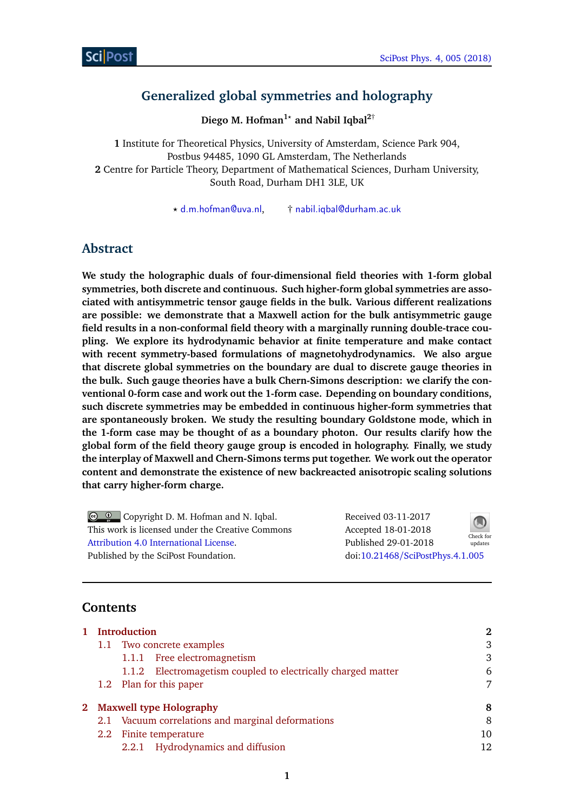# **Generalized global symmetries and holography**

Diego M. Hofman<sup>1</sup><sup>*\**</sup> and Nabil Iqbal<sup>2†</sup>

**1** Institute for Theoretical Physics, University of Amsterdam, Science Park 904, Postbus 94485, 1090 GL Amsterdam, The Netherlands **2** Centre for Particle Theory, Department of Mathematical Sciences, Durham University, South Road, Durham DH1 3LE, UK

*?* [d.m.hofman@uva.nl](mailto:d.m.hofman@uva.nl), † [nabil.iqbal@durham.ac.uk](mailto:nabil.iqbal@durham.ac.uk)

## **Abstract**

**We study the holographic duals of four-dimensional field theories with 1-form global symmetries, both discrete and continuous. Such higher-form global symmetries are associated with antisymmetric tensor gauge fields in the bulk. Various different realizations are possible: we demonstrate that a Maxwell action for the bulk antisymmetric gauge field results in a non-conformal field theory with a marginally running double-trace coupling. We explore its hydrodynamic behavior at finite temperature and make contact with recent symmetry-based formulations of magnetohydrodynamics. We also argue that discrete global symmetries on the boundary are dual to discrete gauge theories in the bulk. Such gauge theories have a bulk Chern-Simons description: we clarify the conventional 0-form case and work out the 1-form case. Depending on boundary conditions, such discrete symmetries may be embedded in continuous higher-form symmetries that are spontaneously broken. We study the resulting boundary Goldstone mode, which in the 1-form case may be thought of as a boundary photon. Our results clarify how the global form of the field theory gauge group is encoded in holography. Finally, we study the interplay of Maxwell and Chern-Simons terms put together. We work out the operator content and demonstrate the existence of new backreacted anisotropic scaling solutions that carry higher-form charge.**

| $\bigcirc$ $\bigcirc$ Copyright D. M. Hofman and N. Iqbal. | Received 03-11-2017              | $\bigcirc$           |
|------------------------------------------------------------|----------------------------------|----------------------|
| This work is licensed under the Creative Commons           | Accepted 18-01-2018              |                      |
| Attribution 4.0 International License.                     | Published 29-01-2018             | Check for<br>updates |
| Published by the SciPost Foundation.                       | doi:10.21468/SciPostPhys.4.1.005 |                      |

## **Contents**

|  | <b>Introduction</b>                                          | 2  |
|--|--------------------------------------------------------------|----|
|  | 1.1 Two concrete examples                                    | 3  |
|  | 1.1.1 Free electromagnetism                                  | 3  |
|  | 1.1.2 Electromagetism coupled to electrically charged matter | 6  |
|  | 1.2 Plan for this paper                                      | 7  |
|  | 2 Maxwell type Holography                                    | 8  |
|  | 2.1 Vacuum correlations and marginal deformations            | 8  |
|  | 2.2 Finite temperature                                       | 10 |
|  | Hydrodynamics and diffusion<br>2.2.1                         | 12 |
|  |                                                              |    |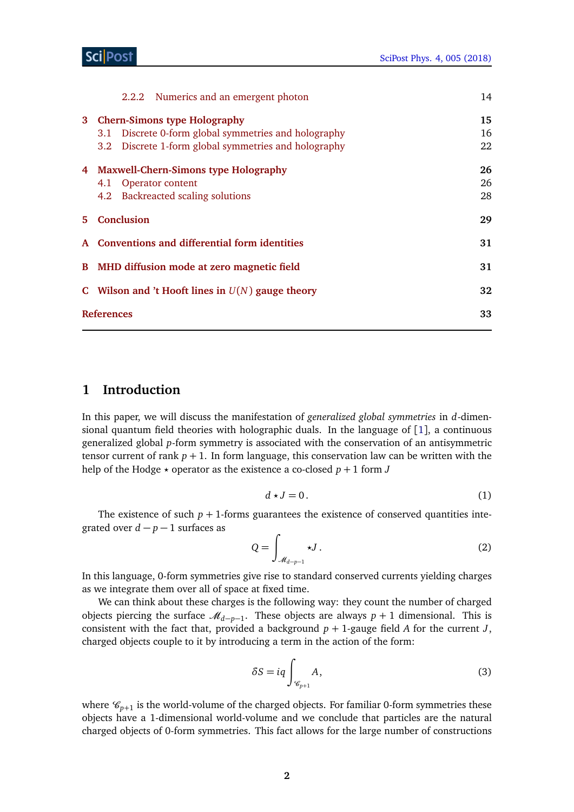

|    | 2.2.2 Numerics and an emergent photon                                | 14 |
|----|----------------------------------------------------------------------|----|
|    | 3 Chern-Simons type Holography                                       | 15 |
|    | Discrete 0-form global symmetries and holography<br>3.1              | 16 |
|    | Discrete 1-form global symmetries and holography<br>3.2 <sub>2</sub> | 22 |
|    | 4 Maxwell-Chern-Simons type Holography                               | 26 |
|    | 4.1 Operator content                                                 | 26 |
|    | 4.2 Backreacted scaling solutions                                    | 28 |
|    |                                                                      |    |
| 5. | Conclusion                                                           | 29 |
|    | A Conventions and differential form identities                       | 31 |
|    | B MHD diffusion mode at zero magnetic field                          | 31 |
|    | C Wilson and 't Hooft lines in $U(N)$ gauge theory                   | 32 |

## <span id="page-1-0"></span>**1 Introduction**

In this paper, we will discuss the manifestation of *generalized global symmetries* in *d*-dimensional quantum field theories with holographic duals. In the language of  $[1]$  $[1]$  $[1]$ , a continuous generalized global *p*-form symmetry is associated with the conservation of an antisymmetric tensor current of rank  $p + 1$ . In form language, this conservation law can be written with the help of the Hodge  $\star$  operator as the existence a co-closed  $p + 1$  form *J* 

$$
d \star J = 0. \tag{1}
$$

The existence of such  $p + 1$ -forms guarantees the existence of conserved quantities integrated over  $d - p - 1$  surfaces as

$$
Q = \int_{\mathcal{M}_{d-p-1}} \star J \,. \tag{2}
$$

In this language, 0-form symmetries give rise to standard conserved currents yielding charges as we integrate them over all of space at fixed time.

We can think about these charges is the following way: they count the number of charged objects piercing the surface M*d*−*p*−<sup>1</sup> . These objects are always *p* + 1 dimensional. This is consistent with the fact that, provided a background  $p + 1$ -gauge field *A* for the current *J*, charged objects couple to it by introducing a term in the action of the form:

$$
\delta S = iq \int_{\mathcal{C}_{p+1}} A,\tag{3}
$$

where  $\mathcal{C}_{p+1}$  is the world-volume of the charged objects. For familiar 0-form symmetries these objects have a 1-dimensional world-volume and we conclude that particles are the natural charged objects of 0-form symmetries. This fact allows for the large number of constructions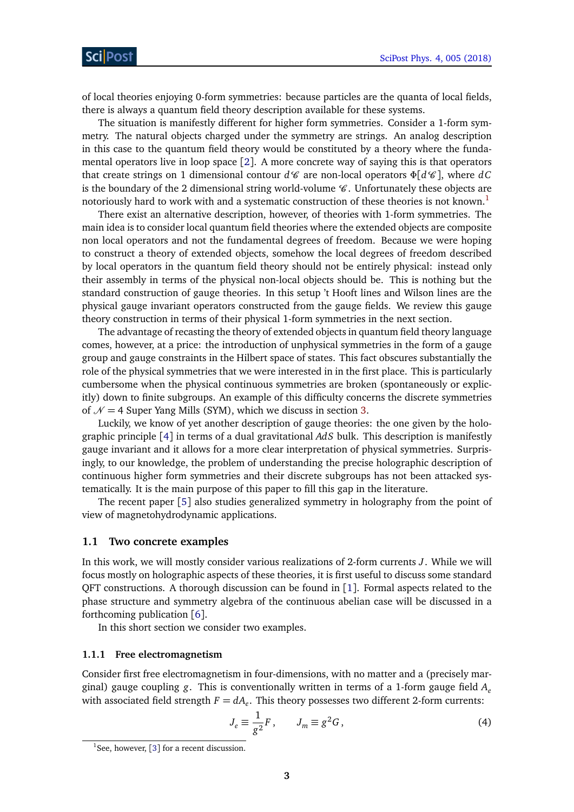of local theories enjoying 0-form symmetries: because particles are the quanta of local fields, there is always a quantum field theory description available for these systems.

The situation is manifestly different for higher form symmetries. Consider a 1-form symmetry. The natural objects charged under the symmetry are strings. An analog description in this case to the quantum field theory would be constituted by a theory where the fundamental operators live in loop space  $[2]$  $[2]$  $[2]$ . A more concrete way of saying this is that operators that create strings on 1 dimensional contour *d*C are non-local operators *Φ*[*d*C ], where *dC* is the boundary of the 2 dimensional string world-volume  $\mathscr C$ . Unfortunately these objects are notoriously hard to work with and a systematic construction of these theories is not known.<sup>[1](#page-2-2)</sup>

There exist an alternative description, however, of theories with 1-form symmetries. The main idea is to consider local quantum field theories where the extended objects are composite non local operators and not the fundamental degrees of freedom. Because we were hoping to construct a theory of extended objects, somehow the local degrees of freedom described by local operators in the quantum field theory should not be entirely physical: instead only their assembly in terms of the physical non-local objects should be. This is nothing but the standard construction of gauge theories. In this setup 't Hooft lines and Wilson lines are the physical gauge invariant operators constructed from the gauge fields. We review this gauge theory construction in terms of their physical 1-form symmetries in the next section.

The advantage of recasting the theory of extended objects in quantum field theory language comes, however, at a price: the introduction of unphysical symmetries in the form of a gauge group and gauge constraints in the Hilbert space of states. This fact obscures substantially the role of the physical symmetries that we were interested in in the first place. This is particularly cumbersome when the physical continuous symmetries are broken (spontaneously or explicitly) down to finite subgroups. An example of this difficulty concerns the discrete symmetries of  $\mathcal{N} = 4$  Super Yang Mills (SYM), which we discuss in section [3.](#page-14-0)

Luckily, we know of yet another description of gauge theories: the one given by the holographic principle [[4](#page-32-3)] in terms of a dual gravitational *AdS* bulk. This description is manifestly gauge invariant and it allows for a more clear interpretation of physical symmetries. Surprisingly, to our knowledge, the problem of understanding the precise holographic description of continuous higher form symmetries and their discrete subgroups has not been attacked systematically. It is the main purpose of this paper to fill this gap in the literature.

The recent paper [[5](#page-32-4)] also studies generalized symmetry in holography from the point of view of magnetohydrodynamic applications.

### <span id="page-2-0"></span>**1.1 Two concrete examples**

In this work, we will mostly consider various realizations of 2-form currents *J*. While we will focus mostly on holographic aspects of these theories, it is first useful to discuss some standard  $QFT$  constructions. A thorough discussion can be found in [[1](#page-32-1)]. Formal aspects related to the phase structure and symmetry algebra of the continuous abelian case will be discussed in a forthcoming publication [[6](#page-32-5)].

In this short section we consider two examples.

#### <span id="page-2-1"></span>**1.1.1 Free electromagnetism**

Consider first free electromagnetism in four-dimensions, with no matter and a (precisely marginal) gauge coupling *g*. This is conventionally written in terms of a 1-form gauge field *A<sup>e</sup>* with associated field strength  $F = dA_e$ . This theory possesses two different 2-form currents:

$$
J_e \equiv \frac{1}{g^2} F, \qquad J_m \equiv g^2 G,
$$
\n(4)

<span id="page-2-2"></span><sup>&</sup>lt;sup>1</sup>See, however, [[3](#page-32-6)] for a recent discussion.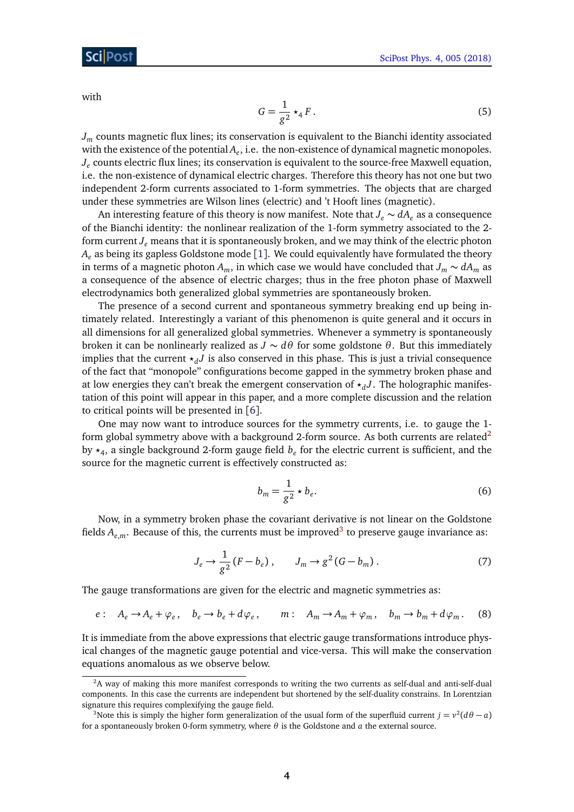<span id="page-3-4"></span>with

$$
G = \frac{1}{g^2} \star_4 F. \tag{5}
$$

*J<sup>m</sup>* counts magnetic flux lines; its conservation is equivalent to the Bianchi identity associated with the existence of the potential $A_e$ , i.e. the non-existence of dynamical magnetic monopoles.  $J_e$  counts electric flux lines; its conservation is equivalent to the source-free Maxwell equation, i.e. the non-existence of dynamical electric charges. Therefore this theory has not one but two independent 2-form currents associated to 1-form symmetries. The objects that are charged under these symmetries are Wilson lines (electric) and 't Hooft lines (magnetic).

An interesting feature of this theory is now manifest. Note that  $J_e \sim dA_e$  as a consequence of the Bianchi identity: the nonlinear realization of the 1-form symmetry associated to the 2 form current *J<sup>e</sup>* means that it is spontaneously broken, and we may think of the electric photon *A<sup>e</sup>* as being its gapless Goldstone mode [[1](#page-32-1)]. We could equivalently have formulated the theory in terms of a magnetic photon  $A_m$ , in which case we would have concluded that  $J_m \sim dA_m$  as a consequence of the absence of electric charges; thus in the free photon phase of Maxwell electrodynamics both generalized global symmetries are spontaneously broken.

The presence of a second current and spontaneous symmetry breaking end up being intimately related. Interestingly a variant of this phenomenon is quite general and it occurs in all dimensions for all generalized global symmetries. Whenever a symmetry is spontaneously broken it can be nonlinearly realized as *J* ∼ *dθ* for some goldstone *θ*. But this immediately implies that the current  $\star_d J$  is also conserved in this phase. This is just a trivial consequence of the fact that "monopole" configurations become gapped in the symmetry broken phase and at low energies they can't break the emergent conservation of  $\star_d J$ . The holographic manifestation of this point will appear in this paper, and a more complete discussion and the relation to critical points will be presented in [[6](#page-32-5)].

One may now want to introduce sources for the symmetry currents, i.e. to gauge the 1- form global symmetry above with a background [2](#page-3-0)-form source. As both currents are related<sup>2</sup> by  $\star_4$ , a single background 2-form gauge field  $b_e$  for the electric current is sufficient, and the source for the magnetic current is effectively constructed as:

<span id="page-3-5"></span><span id="page-3-3"></span><span id="page-3-2"></span>
$$
b_m = \frac{1}{g^2} \star b_e. \tag{6}
$$

Now, in a symmetry broken phase the covariant derivative is not linear on the Goldstone fields  $A_{e,m}$ . Because of this, the currents must be improved<sup>[3](#page-3-1)</sup> to preserve gauge invariance as:

$$
J_e \to \frac{1}{g^2} (F - b_e) , \qquad J_m \to g^2 (G - b_m) . \tag{7}
$$

The gauge transformations are given for the electric and magnetic symmetries as:

 $e: A_e \to A_e + \varphi_e, b_e \to b_e + d\varphi_e, m: A_m \to A_m + \varphi_m, b_m \to b_m + d\varphi_m.$  (8)

It is immediate from the above expressions that electric gauge transformations introduce physical changes of the magnetic gauge potential and vice-versa. This will make the conservation equations anomalous as we observe below.

<span id="page-3-0"></span><sup>&</sup>lt;sup>2</sup>A way of making this more manifest corresponds to writing the two currents as self-dual and anti-self-dual components. In this case the currents are independent but shortened by the self-duality constrains. In Lorentzian signature this requires complexifying the gauge field.

<span id="page-3-1"></span><sup>&</sup>lt;sup>3</sup>Note this is simply the higher form generalization of the usual form of the superfluid current  $j = v^2(d\theta - a)$ for a spontaneously broken 0-form symmetry, where *θ* is the Goldstone and *a* the external source.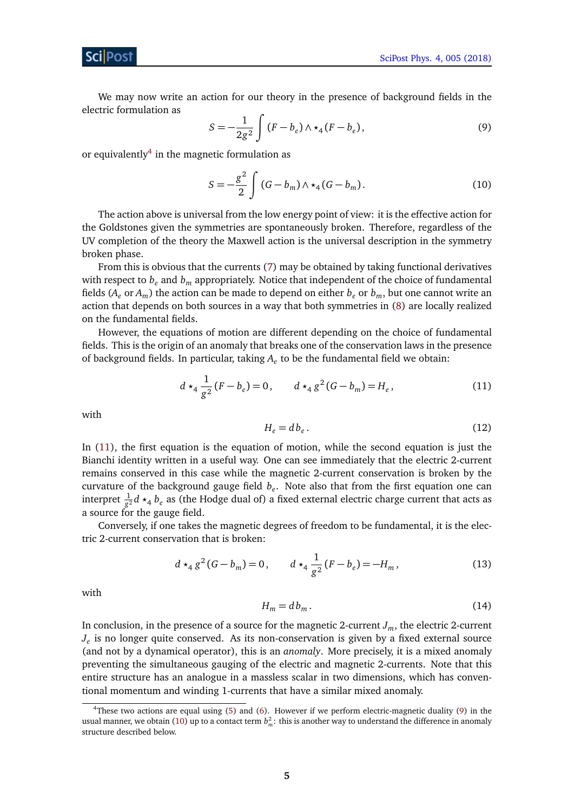We may now write an action for our theory in the presence of background fields in the electric formulation as

<span id="page-4-2"></span>
$$
S = -\frac{1}{2g^2} \int (F - b_e) \wedge \star_4 (F - b_e), \tag{9}
$$

or equivalently<sup>[4](#page-4-0)</sup> in the magnetic formulation as

<span id="page-4-3"></span>
$$
S = -\frac{g^2}{2} \int (G - b_m) \wedge \star_4 (G - b_m).
$$
 (10)

The action above is universal from the low energy point of view: it is the effective action for the Goldstones given the symmetries are spontaneously broken. Therefore, regardless of the UV completion of the theory the Maxwell action is the universal description in the symmetry broken phase.

From this is obvious that the currents [\(7\)](#page-3-2) may be obtained by taking functional derivatives with respect to  $b_e$  and  $b_m$  appropriately. Notice that independent of the choice of fundamental fields ( $A_e$  or  $A_m$ ) the action can be made to depend on either  $b_e$  or  $b_m$ , but one cannot write an action that depends on both sources in a way that both symmetries in [\(8\)](#page-3-3) are locally realized on the fundamental fields.

However, the equations of motion are different depending on the choice of fundamental fields. This is the origin of an anomaly that breaks one of the conservation laws in the presence of background fields. In particular, taking  $A_e$  to be the fundamental field we obtain:

$$
d \star_4 \frac{1}{g^2} (F - b_e) = 0, \qquad d \star_4 g^2 (G - b_m) = H_e, \tag{11}
$$

with

<span id="page-4-1"></span>
$$
H_e = db_e. \t\t(12)
$$

In [\(11\)](#page-4-1), the first equation is the equation of motion, while the second equation is just the Bianchi identity written in a useful way. One can see immediately that the electric 2-current remains conserved in this case while the magnetic 2-current conservation is broken by the curvature of the background gauge field *b<sup>e</sup>* . Note also that from the first equation one can interpret  $\frac{1}{g^2}d \star_4 b_e$  as (the Hodge dual of) a fixed external electric charge current that acts as a source for the gauge field.

Conversely, if one takes the magnetic degrees of freedom to be fundamental, it is the electric 2-current conservation that is broken:

$$
d \star_4 g^2 (G - b_m) = 0, \qquad d \star_4 \frac{1}{g^2} (F - b_e) = -H_m, \tag{13}
$$

with

<span id="page-4-4"></span>
$$
H_m = d b_m. \tag{14}
$$

In conclusion, in the presence of a source for the magnetic 2-current  $J_m$ , the electric 2-current  $J_e$  is no longer quite conserved. As its non-conservation is given by a fixed external source (and not by a dynamical operator), this is an *anomaly*. More precisely, it is a mixed anomaly preventing the simultaneous gauging of the electric and magnetic 2-currents. Note that this entire structure has an analogue in a massless scalar in two dimensions, which has conventional momentum and winding 1-currents that have a similar mixed anomaly.

<span id="page-4-0"></span> $4$ These two actions are equal using [\(5\)](#page-3-4) and [\(6\)](#page-3-5). However if we perform electric-magnetic duality [\(9\)](#page-4-2) in the usual manner, we obtain [\(10\)](#page-4-3) up to a contact term  $b_m^2$ : this is another way to understand the difference in anomaly structure described below.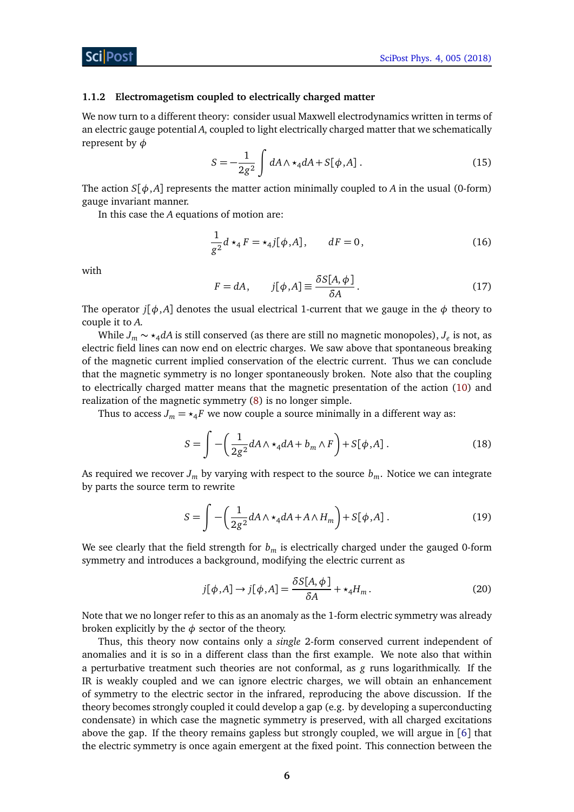### <span id="page-5-0"></span>**1.1.2 Electromagetism coupled to electrically charged matter**

We now turn to a different theory: consider usual Maxwell electrodynamics written in terms of an electric gauge potential *A*, coupled to light electrically charged matter that we schematically represent by *φ*

$$
S = -\frac{1}{2g^2} \int dA \wedge \star_4 dA + S[\phi, A] \,. \tag{15}
$$

The action *S*[ $\phi$ ,*A*] represents the matter action minimally coupled to *A* in the usual (0-form) gauge invariant manner.

In this case the *A* equations of motion are:

$$
\frac{1}{g^2}d \star_4 F = \star_4 j[\phi, A], \qquad dF = 0,
$$
\n(16)

with

$$
F = dA, \qquad j[\phi, A] \equiv \frac{\delta S[A, \phi]}{\delta A}.
$$
 (17)

The operator *j*[ $\phi$ ,*A*] denotes the usual electrical 1-current that we gauge in the  $\phi$  theory to couple it to *A*.

While  $J_m \sim \star_4 dA$  is still conserved (as there are still no magnetic monopoles),  $J_e$  is not, as electric field lines can now end on electric charges. We saw above that spontaneous breaking of the magnetic current implied conservation of the electric current. Thus we can conclude that the magnetic symmetry is no longer spontaneously broken. Note also that the coupling to electrically charged matter means that the magnetic presentation of the action [\(10\)](#page-4-3) and realization of the magnetic symmetry [\(8\)](#page-3-3) is no longer simple.

Thus to access  $J_m = \star_4 F$  we now couple a source minimally in a different way as:

$$
S = \int -\left(\frac{1}{2g^2}dA \wedge \star_4 dA + b_m \wedge F\right) + S[\phi, A] \,. \tag{18}
$$

As required we recover  $J_m$  by varying with respect to the source  $b_m$ . Notice we can integrate by parts the source term to rewrite

$$
S = \int -\left(\frac{1}{2g^2}dA \wedge \star_4 dA + A \wedge H_m\right) + S[\phi, A] \,. \tag{19}
$$

We see clearly that the field strength for *b<sup>m</sup>* is electrically charged under the gauged 0-form symmetry and introduces a background, modifying the electric current as

$$
j[\phi,A] \to j[\phi,A] = \frac{\delta S[A,\phi]}{\delta A} + \star_4 H_m.
$$
 (20)

Note that we no longer refer to this as an anomaly as the 1-form electric symmetry was already broken explicitly by the  $\phi$  sector of the theory.

Thus, this theory now contains only a *single* 2-form conserved current independent of anomalies and it is so in a different class than the first example. We note also that within a perturbative treatment such theories are not conformal, as *g* runs logarithmically. If the IR is weakly coupled and we can ignore electric charges, we will obtain an enhancement of symmetry to the electric sector in the infrared, reproducing the above discussion. If the theory becomes strongly coupled it could develop a gap (e.g. by developing a superconducting condensate) in which case the magnetic symmetry is preserved, with all charged excitations above the gap. If the theory remains gapless but strongly coupled, we will argue in [[6](#page-32-5)] that the electric symmetry is once again emergent at the fixed point. This connection between the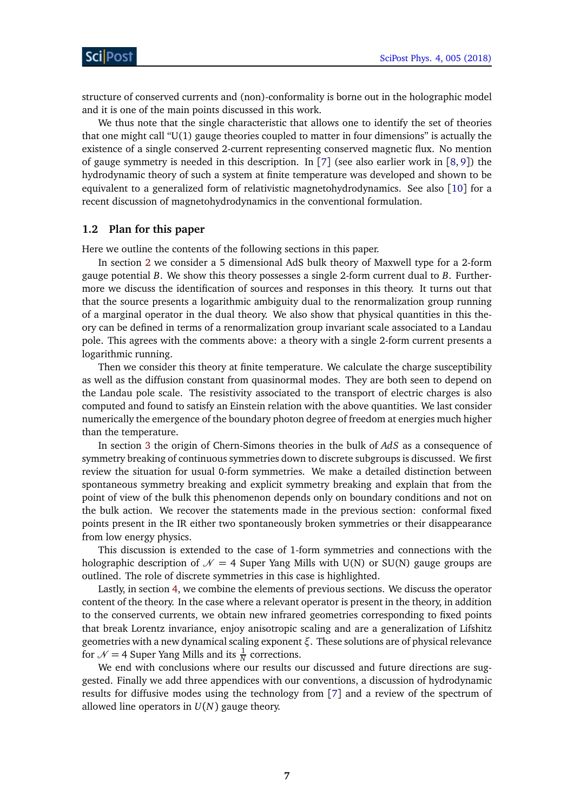structure of conserved currents and (non)-conformality is borne out in the holographic model and it is one of the main points discussed in this work.

We thus note that the single characteristic that allows one to identify the set of theories that one might call "U(1) gauge theories coupled to matter in four dimensions" is actually the existence of a single conserved 2-current representing conserved magnetic flux. No mention of gauge symmetry is needed in this description. In [[7](#page-32-7)] (see also earlier work in [[8,](#page-32-8)[9](#page-33-0)]) the hydrodynamic theory of such a system at finite temperature was developed and shown to be equivalent to a generalized form of relativistic magnetohydrodynamics. See also [[10](#page-33-1)] for a recent discussion of magnetohydrodynamics in the conventional formulation.

### <span id="page-6-0"></span>**1.2 Plan for this paper**

Here we outline the contents of the following sections in this paper.

In section [2](#page-7-0) we consider a 5 dimensional AdS bulk theory of Maxwell type for a 2-form gauge potential *B*. We show this theory possesses a single 2-form current dual to *B*. Furthermore we discuss the identification of sources and responses in this theory. It turns out that that the source presents a logarithmic ambiguity dual to the renormalization group running of a marginal operator in the dual theory. We also show that physical quantities in this theory can be defined in terms of a renormalization group invariant scale associated to a Landau pole. This agrees with the comments above: a theory with a single 2-form current presents a logarithmic running.

Then we consider this theory at finite temperature. We calculate the charge susceptibility as well as the diffusion constant from quasinormal modes. They are both seen to depend on the Landau pole scale. The resistivity associated to the transport of electric charges is also computed and found to satisfy an Einstein relation with the above quantities. We last consider numerically the emergence of the boundary photon degree of freedom at energies much higher than the temperature.

In section [3](#page-14-0) the origin of Chern-Simons theories in the bulk of *AdS* as a consequence of symmetry breaking of continuous symmetries down to discrete subgroups is discussed. We first review the situation for usual 0-form symmetries. We make a detailed distinction between spontaneous symmetry breaking and explicit symmetry breaking and explain that from the point of view of the bulk this phenomenon depends only on boundary conditions and not on the bulk action. We recover the statements made in the previous section: conformal fixed points present in the IR either two spontaneously broken symmetries or their disappearance from low energy physics.

This discussion is extended to the case of 1-form symmetries and connections with the holographic description of  $\mathcal{N} = 4$  Super Yang Mills with U(N) or SU(N) gauge groups are outlined. The role of discrete symmetries in this case is highlighted.

Lastly, in section [4,](#page-25-0) we combine the elements of previous sections. We discuss the operator content of the theory. In the case where a relevant operator is present in the theory, in addition to the conserved currents, we obtain new infrared geometries corresponding to fixed points that break Lorentz invariance, enjoy anisotropic scaling and are a generalization of Lifshitz geometries with a new dynamical scaling exponent *ξ*. These solutions are of physical relevance for  $\mathcal{N} = 4$  Super Yang Mills and its  $\frac{1}{N}$  corrections.

We end with conclusions where our results our discussed and future directions are suggested. Finally we add three appendices with our conventions, a discussion of hydrodynamic results for diffusive modes using the technology from [[7](#page-32-7)] and a review of the spectrum of allowed line operators in *U*(*N*) gauge theory.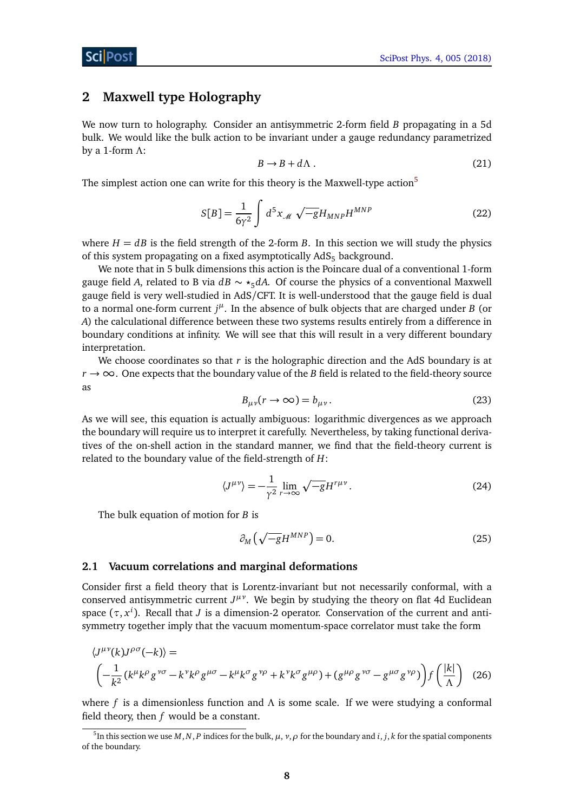## <span id="page-7-0"></span>**2 Maxwell type Holography**

We now turn to holography. Consider an antisymmetric 2-form field *B* propagating in a 5d bulk. We would like the bulk action to be invariant under a gauge redundancy parametrized by a 1-form *Λ*:

$$
B \to B + d\Lambda \tag{21}
$$

The simplest action one can write for this theory is the Maxwell-type action<sup>[5](#page-7-2)</sup>

$$
S[B] = \frac{1}{6\gamma^2} \int d^5 x_{\mathcal{M}} \sqrt{-g} H_{MNP} H^{MNP}
$$
 (22)

where  $H = dB$  is the field strength of the 2-form *B*. In this section we will study the physics of this system propagating on a fixed asymptotically  $AdS<sub>5</sub>$  background.

We note that in 5 bulk dimensions this action is the Poincare dual of a conventional 1-form gauge field *A*, related to B via  $dB \sim \star_5 dA$ . Of course the physics of a conventional Maxwell gauge field is very well-studied in AdS/CFT. It is well-understood that the gauge field is dual to a normal one-form current  $j^{\mu}$ . In the absence of bulk objects that are charged under *B* (or *A*) the calculational difference between these two systems results entirely from a difference in boundary conditions at infinity. We will see that this will result in a very different boundary interpretation.

<span id="page-7-5"></span>We choose coordinates so that  $r$  is the holographic direction and the AdS boundary is at *r* → ∞. One expects that the boundary value of the *B* field is related to the field-theory source as

<span id="page-7-4"></span>
$$
B_{\mu\nu}(r \to \infty) = b_{\mu\nu}.
$$
\n(23)

As we will see, this equation is actually ambiguous: logarithmic divergences as we approach the boundary will require us to interpret it carefully. Nevertheless, by taking functional derivatives of the on-shell action in the standard manner, we find that the field-theory current is related to the boundary value of the field-strength of *H*:

$$
\langle J^{\mu\nu}\rangle = -\frac{1}{\gamma^2} \lim_{r \to \infty} \sqrt{-g} H^{r\mu\nu}.
$$
 (24)

The bulk equation of motion for *B* is

<span id="page-7-6"></span><span id="page-7-3"></span>
$$
\partial_M\left(\sqrt{-g}H^{MNP}\right) = 0.\tag{25}
$$

### <span id="page-7-1"></span>**2.1 Vacuum correlations and marginal deformations**

Consider first a field theory that is Lorentz-invariant but not necessarily conformal, with a conserved antisymmetric current  $J^{\mu\nu}$ . We begin by studying the theory on flat 4d Euclidean space (*τ*, *x i* ). Recall that *J* is a dimension-2 operator. Conservation of the current and antisymmetry together imply that the vacuum momentum-space correlator must take the form

$$
\langle J^{\mu\nu}(k)J^{\rho\sigma}(-k)\rangle =
$$
\n
$$
\left(-\frac{1}{k^2}(k^{\mu}k^{\rho}g^{\nu\sigma} - k^{\nu}k^{\rho}g^{\mu\sigma} - k^{\mu}k^{\sigma}g^{\nu\rho} + k^{\nu}k^{\sigma}g^{\mu\rho}\right) + (g^{\mu\rho}g^{\nu\sigma} - g^{\mu\sigma}g^{\nu\rho})\right)f\left(\frac{|k|}{\Lambda}\right)
$$
\n(26)

where *f* is a dimensionless function and  $\Lambda$  is some scale. If we were studying a conformal field theory, then *f* would be a constant.

<span id="page-7-2"></span><sup>5</sup> In this section we use *M*,*N*, *P* indices for the bulk, *µ*,*ν*,*ρ* for the boundary and *i*, *j*, *k* for the spatial components of the boundary.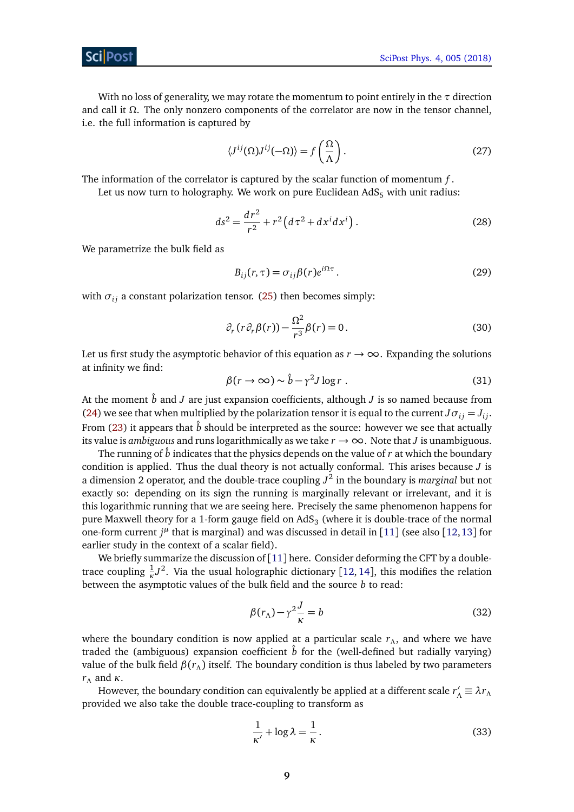With no loss of generality, we may rotate the momentum to point entirely in the *τ* direction and call it *Ω*. The only nonzero components of the correlator are now in the tensor channel, i.e. the full information is captured by

$$
\langle J^{ij}(\Omega)J^{ij}(-\Omega)\rangle = f\left(\frac{\Omega}{\Lambda}\right). \tag{27}
$$

The information of the correlator is captured by the scalar function of momentum *f* .

Let us now turn to holography. We work on pure Euclidean  $AdS<sub>5</sub>$  with unit radius:

$$
ds^{2} = \frac{dr^{2}}{r^{2}} + r^{2} \left( d\tau^{2} + dx^{i} dx^{i} \right). \tag{28}
$$

We parametrize the bulk field as

<span id="page-8-0"></span>
$$
B_{ij}(r,\tau) = \sigma_{ij}\beta(r)e^{i\Omega\tau}.
$$
\n(29)

with  $\sigma_{ij}$  a constant polarization tensor. [\(25\)](#page-7-3) then becomes simply:

$$
\partial_r (r \partial_r \beta(r)) - \frac{\Omega^2}{r^3} \beta(r) = 0. \tag{30}
$$

Let us first study the asymptotic behavior of this equation as  $r \rightarrow \infty$ . Expanding the solutions at infinity we find:

<span id="page-8-2"></span>
$$
\beta(r \to \infty) \sim \hat{b} - \gamma^2 J \log r \ . \tag{31}
$$

At the moment  $\hat{b}$  and  $J$  are just expansion coefficients, although  $J$  is so named because from [\(24\)](#page-7-4) we see that when multiplied by the polarization tensor it is equal to the current  $J\sigma_{ij} = J_{ij}$ . From [\(23\)](#page-7-5) it appears that  $\hat{b}$  should be interpreted as the source: however we see that actually its value is *ambiguous* and runs logarithmically as we take  $r \to \infty$ . Note that *J* is unambiguous.

The running of  $\hat{b}$  indicates that the physics depends on the value of  $r$  at which the boundary condition is applied. Thus the dual theory is not actually conformal. This arises because *J* is a dimension 2 operator, and the double-trace coupling *J* 2 in the boundary is *marginal* but not exactly so: depending on its sign the running is marginally relevant or irrelevant, and it is this logarithmic running that we are seeing here. Precisely the same phenomenon happens for pure Maxwell theory for a 1-form gauge field on AdS $_3$  (where it is double-trace of the normal one-form current *j<sup>µ</sup>* that is marginal) and was discussed in detail in [[11](#page-33-2)] (see also [[12,](#page-33-3)[13](#page-33-4)] for earlier study in the context of a scalar field).

We briefly summarize the discussion of [[11](#page-33-2)] here. Consider deforming the CFT by a doubletrace coupling  $\frac{1}{\kappa}J^2$ . Via the usual holographic dictionary [[12,](#page-33-3) [14](#page-33-5)], this modifies the relation between the asymptotic values of the bulk field and the source *b* to read:

<span id="page-8-1"></span>
$$
\beta(r_{\Lambda}) - \gamma^2 \frac{J}{\kappa} = b \tag{32}
$$

where the boundary condition is now applied at a particular scale *rΛ*, and where we have traded the (ambiguous) expansion coefficient  $\hat{b}$  for the (well-defined but radially varying) value of the bulk field  $\beta(r_A)$  itself. The boundary condition is thus labeled by two parameters *r*<sup>*Λ*</sup> and *κ*.

However, the boundary condition can equivalently be applied at a different scale  $r'_\Lambda \equiv \lambda r_\Lambda$ provided we also take the double trace-coupling to transform as

$$
\frac{1}{\kappa'} + \log \lambda = \frac{1}{\kappa}.
$$
 (33)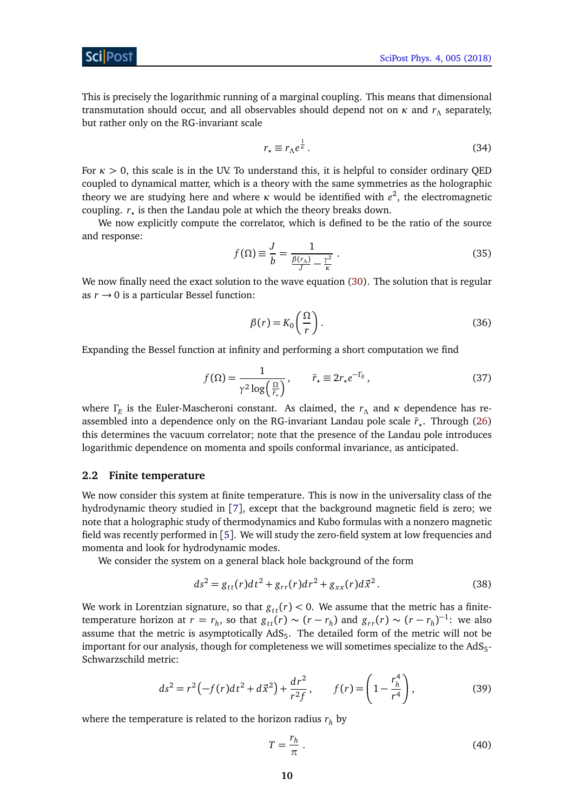This is precisely the logarithmic running of a marginal coupling. This means that dimensional transmutation should occur, and all observables should depend not on *κ* and *r<sup>Λ</sup>* separately, but rather only on the RG-invariant scale

$$
r_{\star} \equiv r_{\Lambda} e^{\frac{1}{\kappa}}. \tag{34}
$$

For  $\kappa > 0$ , this scale is in the UV. To understand this, it is helpful to consider ordinary QED coupled to dynamical matter, which is a theory with the same symmetries as the holographic theory we are studying here and where *κ* would be identified with *e* 2 , the electromagnetic coupling. *r?* is then the Landau pole at which the theory breaks down.

We now explicitly compute the correlator, which is defined to be the ratio of the source and response:

$$
f(\Omega) \equiv \frac{J}{b} = \frac{1}{\frac{\beta(r_{\Lambda})}{J} - \frac{\gamma^2}{\kappa}}.
$$
\n(35)

We now finally need the exact solution to the wave equation [\(30\)](#page-8-0). The solution that is regular as  $r \rightarrow 0$  is a particular Bessel function:

$$
\beta(r) = K_0 \left(\frac{\Omega}{r}\right). \tag{36}
$$

Expanding the Bessel function at infinity and performing a short computation we find

$$
f(\Omega) = \frac{1}{\gamma^2 \log\left(\frac{\Omega}{\bar{r}_\star}\right)}, \qquad \bar{r}_\star \equiv 2r_\star e^{-\Gamma_E}, \tag{37}
$$

where *Γ<sup>E</sup>* is the Euler-Mascheroni constant. As claimed, the *r<sup>Λ</sup>* and *κ* dependence has reassembled into a dependence only on the RG-invariant Landau pole scale  $\bar{r}_*$ . Through [\(26\)](#page-7-6) this determines the vacuum correlator; note that the presence of the Landau pole introduces logarithmic dependence on momenta and spoils conformal invariance, as anticipated.

#### <span id="page-9-0"></span>**2.2 Finite temperature**

We now consider this system at finite temperature. This is now in the universality class of the hydrodynamic theory studied in [[7](#page-32-7)], except that the background magnetic field is zero; we note that a holographic study of thermodynamics and Kubo formulas with a nonzero magnetic field was recently performed in [[5](#page-32-4)]. We will study the zero-field system at low frequencies and momenta and look for hydrodynamic modes.

We consider the system on a general black hole background of the form

$$
ds^{2} = g_{tt}(r)dt^{2} + g_{rr}(r)dr^{2} + g_{xx}(r)d\vec{x}^{2}.
$$
 (38)

We work in Lorentzian signature, so that  $g_{tt}(r) < 0$ . We assume that the metric has a finitetemperature horizon at  $r = r_h$ , so that  $g_{tt}(r) \sim (r - r_h)$  and  $g_{rr}(r) \sim (r - r_h)^{-1}$ : we also assume that the metric is asymptotically  $AdS_5$ . The detailed form of the metric will not be important for our analysis, though for completeness we will sometimes specialize to the  $AdS_5$ -Schwarzschild metric:

$$
ds^{2} = r^{2} \left( -f(r)dt^{2} + d\vec{x}^{2} \right) + \frac{dr^{2}}{r^{2}f}, \qquad f(r) = \left( 1 - \frac{r_{h}^{4}}{r^{4}} \right), \tag{39}
$$

where the temperature is related to the horizon radius  $r_h$  by

$$
T = \frac{r_h}{\pi} \,. \tag{40}
$$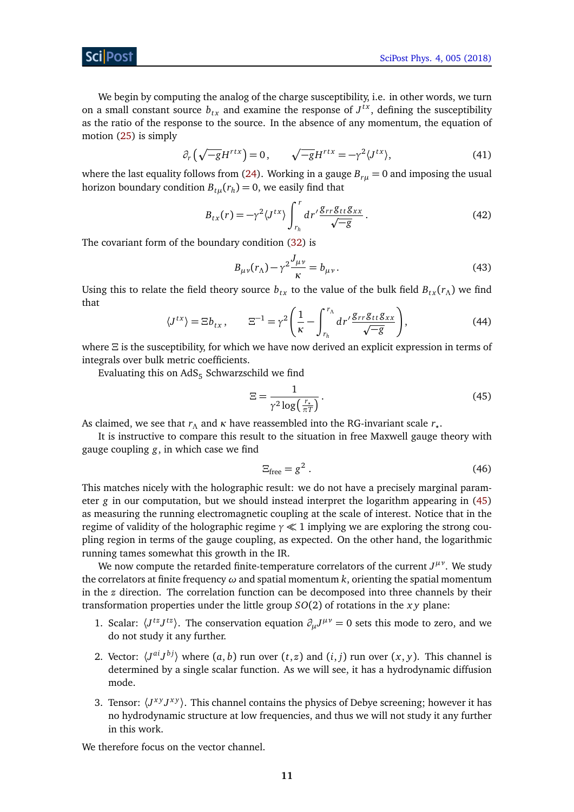We begin by computing the analog of the charge susceptibility, i.e. in other words, we turn on a small constant source  $b_{tx}$  and examine the response of  $J^{tx}$ , defining the susceptibility as the ratio of the response to the source. In the absence of any momentum, the equation of motion [\(25\)](#page-7-3) is simply

$$
\partial_r\left(\sqrt{-g}H^{rtx}\right) = 0, \qquad \sqrt{-g}H^{rtx} = -\gamma^2\langle J^{tx}\rangle,\tag{41}
$$

where the last equality follows from [\(24\)](#page-7-4). Working in a gauge  $B_{ru} = 0$  and imposing the usual horizon boundary condition  $B_{t\mu}(r_h)$   $=$  0, we easily find that

$$
B_{tx}(r) = -\gamma^2 \langle J^{tx} \rangle \int_{r_h}^r dr' \frac{g_{rr} g_{tt} g_{xx}}{\sqrt{-g}}.
$$
 (42)

The covariant form of the boundary condition [\(32\)](#page-8-1) is

<span id="page-10-1"></span>
$$
B_{\mu\nu}(r_{\Lambda}) - \gamma^2 \frac{J_{\mu\nu}}{\kappa} = b_{\mu\nu}.
$$
\n(43)

<span id="page-10-2"></span>Using this to relate the field theory source  $b_{tx}$  to the value of the bulk field  $B_{tx}(r_A)$  we find that

$$
\langle J^{tx} \rangle = \Xi b_{tx}, \qquad \Xi^{-1} = \gamma^2 \left( \frac{1}{\kappa} - \int_{r_h}^{r_h} dr' \frac{g_{rr} g_{tt} g_{xx}}{\sqrt{-g}} \right), \tag{44}
$$

where *Ξ* is the susceptibility, for which we have now derived an explicit expression in terms of integrals over bulk metric coefficients.

Evaluating this on  $AdS_5$  Schwarzschild we find

<span id="page-10-0"></span>
$$
\Xi = \frac{1}{\gamma^2 \log\left(\frac{r_\star}{\pi T}\right)}\,. \tag{45}
$$

As claimed, we see that  $r_\Lambda$  and  $\kappa$  have reassembled into the RG-invariant scale  $r_\star$ .

It is instructive to compare this result to the situation in free Maxwell gauge theory with gauge coupling *g*, in which case we find

$$
\Xi_{\text{free}} = g^2 \,. \tag{46}
$$

This matches nicely with the holographic result: we do not have a precisely marginal parameter *g* in our computation, but we should instead interpret the logarithm appearing in [\(45\)](#page-10-0) as measuring the running electromagnetic coupling at the scale of interest. Notice that in the regime of validity of the holographic regime  $\gamma \ll 1$  implying we are exploring the strong coupling region in terms of the gauge coupling, as expected. On the other hand, the logarithmic running tames somewhat this growth in the IR.

We now compute the retarded finite-temperature correlators of the current *J<sup>µγ</sup>*. We study the correlators at finite frequency  $\omega$  and spatial momentum  $k$ , orienting the spatial momentum in the *z* direction. The correlation function can be decomposed into three channels by their transformation properties under the little group *SO*(2) of rotations in the *x y* plane:

- 1. Scalar:  $\langle J^{tz}J^{tz}\rangle$ . The conservation equation  $\partial_\mu J^{\mu\nu} = 0$  sets this mode to zero, and we do not study it any further.
- 2. Vector:  $\langle J^{ai}J^{bj}\rangle$  where  $(a, b)$  run over  $(t, z)$  and  $(i, j)$  run over  $(x, y)$ . This channel is determined by a single scalar function. As we will see, it has a hydrodynamic diffusion mode.
- 3. Tensor:  $\langle J^{xy} J^{xy} \rangle$ . This channel contains the physics of Debye screening; however it has no hydrodynamic structure at low frequencies, and thus we will not study it any further in this work.

We therefore focus on the vector channel.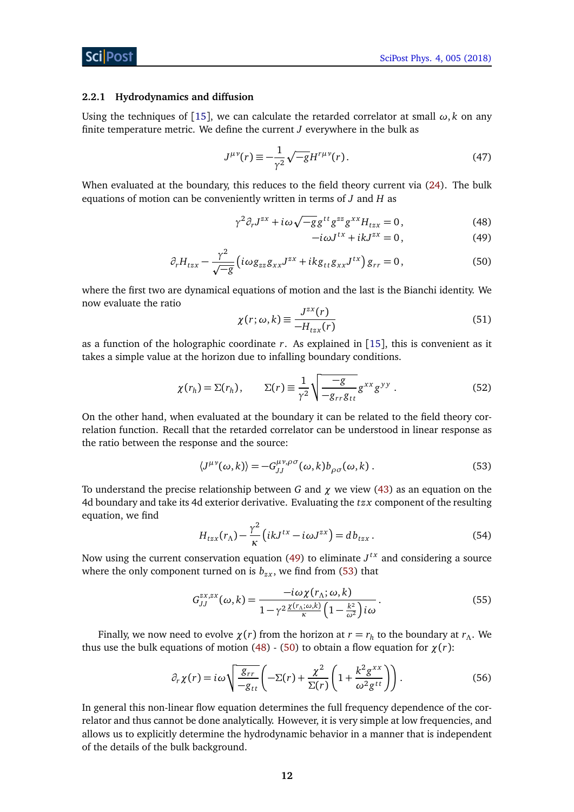### <span id="page-11-0"></span>**2.2.1 Hydrodynamics and diffusion**

Using the techniques of [[15](#page-33-6)], we can calculate the retarded correlator at small  $\omega$ , *k* on any finite temperature metric. We define the current *J* everywhere in the bulk as

$$
J^{\mu\nu}(r) \equiv -\frac{1}{\gamma^2} \sqrt{-g} H^{r\mu\nu}(r). \tag{47}
$$

When evaluated at the boundary, this reduces to the field theory current via [\(24\)](#page-7-4). The bulk equations of motion can be conveniently written in terms of *J* and *H* as

$$
\gamma^2 \partial_r J^{zx} + i\omega \sqrt{-g} g^{tt} g^{xz} g^{xx} H_{tzx} = 0, \qquad (48)
$$

<span id="page-11-4"></span><span id="page-11-3"></span><span id="page-11-1"></span>
$$
-i\omega J^{tx} + ikJ^{zx} = 0, \qquad (49)
$$

$$
\partial_r H_{txx} - \frac{\gamma^2}{\sqrt{-g}} \left( i \omega g_{zz} g_{xx} J^{zx} + i k g_{tt} g_{xx} J^{tx} \right) g_{rr} = 0, \qquad (50)
$$

where the first two are dynamical equations of motion and the last is the Bianchi identity. We now evaluate the ratio

$$
\chi(r; \omega, k) \equiv \frac{J^{zx}(r)}{-H_{txx}(r)}
$$
\n(51)

as a function of the holographic coordinate *r*. As explained in [[15](#page-33-6)], this is convenient as it takes a simple value at the horizon due to infalling boundary conditions.

$$
\chi(r_h) = \Sigma(r_h), \qquad \Sigma(r) \equiv \frac{1}{\gamma^2} \sqrt{\frac{-g}{-g_{rr}g_{tt}}} g^{xx} g^{yy} . \tag{52}
$$

On the other hand, when evaluated at the boundary it can be related to the field theory correlation function. Recall that the retarded correlator can be understood in linear response as the ratio between the response and the source:

<span id="page-11-2"></span>
$$
\langle J^{\mu\nu}(\omega,k)\rangle = -G_{JJ}^{\mu\nu,\rho\sigma}(\omega,k)b_{\rho\sigma}(\omega,k) \,. \tag{53}
$$

To understand the precise relationship between *G* and *χ* we view [\(43\)](#page-10-1) as an equation on the 4d boundary and take its 4d exterior derivative. Evaluating the *tz x* component of the resulting equation, we find

<span id="page-11-5"></span>
$$
H_{tzx}(r_{\Lambda}) - \frac{\gamma^2}{\kappa} \left( ikJ^{tx} - i\omega J^{zx} \right) = db_{tzx} . \tag{54}
$$

Now using the current conservation equation [\(49\)](#page-11-1) to eliminate  $J^{tx}$  and considering a source where the only component turned on is  $b_{zx}$ , we find from [\(53\)](#page-11-2) that

$$
G_{JJ}^{zx,zx}(\omega,k) = \frac{-i\omega\chi(r_{\Lambda};\omega,k)}{1 - \gamma^2 \frac{\chi(r_{\Lambda};\omega,k)}{\kappa} \left(1 - \frac{k^2}{\omega^2}\right)i\omega}.
$$
\n(55)

Finally, we now need to evolve  $\chi(r)$  from the horizon at  $r = r_h$  to the boundary at  $r_\Lambda$ . We thus use the bulk equations of motion [\(48\)](#page-11-3) - [\(50\)](#page-11-4) to obtain a flow equation for  $\chi(r)$ :

$$
\partial_r \chi(r) = i\omega \sqrt{\frac{g_{rr}}{-g_{tt}}} \left( -\Sigma(r) + \frac{\chi^2}{\Sigma(r)} \left( 1 + \frac{k^2 g^{xx}}{\omega^2 g^{tt}} \right) \right). \tag{56}
$$

In general this non-linear flow equation determines the full frequency dependence of the correlator and thus cannot be done analytically. However, it is very simple at low frequencies, and allows us to explicitly determine the hydrodynamic behavior in a manner that is independent of the details of the bulk background.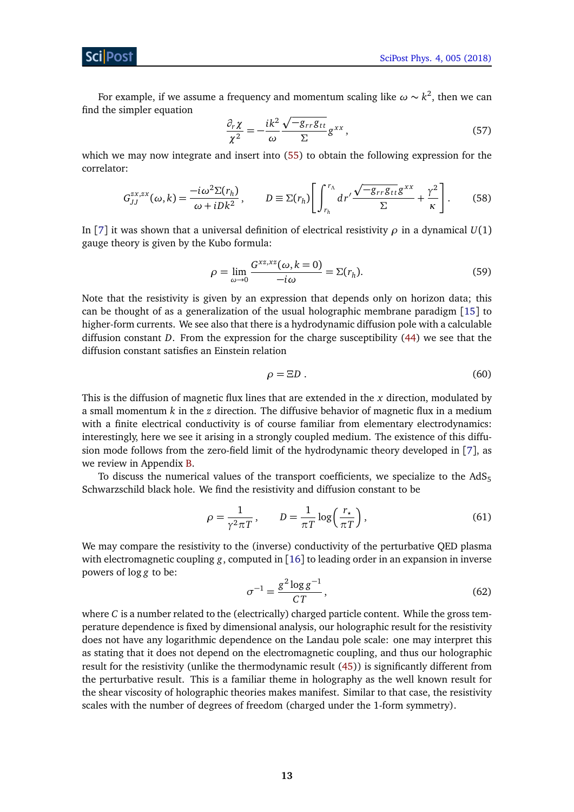

Sci Post

For example, if we assume a frequency and momentum scaling like  $\omega \sim k^2$ , then we can find the simpler equation

$$
\frac{\partial_r \chi}{\chi^2} = -\frac{ik^2}{\omega} \frac{\sqrt{-g_{rr}g_{tt}}}{\Sigma} g^{xx},\tag{57}
$$

which we may now integrate and insert into [\(55\)](#page-11-5) to obtain the following expression for the correlator:

<span id="page-12-0"></span>
$$
G_{JJ}^{zx,zx}(\omega,k) = \frac{-i\omega^2 \Sigma(r_h)}{\omega + iDk^2}, \qquad D \equiv \Sigma(r_h) \left[ \int_{r_h}^{r_\Lambda} dr' \frac{\sqrt{-g_{rr}g_{tt}}g^{xx}}{\Sigma} + \frac{\gamma^2}{\kappa} \right]. \tag{58}
$$

In [[7](#page-32-7)] it was shown that a universal definition of electrical resistivity  $\rho$  in a dynamical  $U(1)$ gauge theory is given by the Kubo formula:

$$
\rho = \lim_{\omega \to 0} \frac{G^{xz,xz}(\omega, k=0)}{-i\omega} = \Sigma(r_h). \tag{59}
$$

Note that the resistivity is given by an expression that depends only on horizon data; this can be thought of as a generalization of the usual holographic membrane paradigm [[15](#page-33-6)] to higher-form currents. We see also that there is a hydrodynamic diffusion pole with a calculable diffusion constant *D*. From the expression for the charge susceptibility [\(44\)](#page-10-2) we see that the diffusion constant satisfies an Einstein relation

$$
\rho = \Xi D \tag{60}
$$

This is the diffusion of magnetic flux lines that are extended in the *x* direction, modulated by a small momentum *k* in the *z* direction. The diffusive behavior of magnetic flux in a medium with a finite electrical conductivity is of course familiar from elementary electrodynamics: interestingly, here we see it arising in a strongly coupled medium. The existence of this diffusion mode follows from the zero-field limit of the hydrodynamic theory developed in [[7](#page-32-7)], as we review in Appendix [B.](#page-30-1)

To discuss the numerical values of the transport coefficients, we specialize to the  $AdS_5$ Schwarzschild black hole. We find the resistivity and diffusion constant to be

$$
\rho = \frac{1}{\gamma^2 \pi T}, \qquad D = \frac{1}{\pi T} \log \left( \frac{r_{\star}}{\pi T} \right), \tag{61}
$$

We may compare the resistivity to the (inverse) conductivity of the perturbative QED plasma with electromagnetic coupling *g*, computed in [[16](#page-33-7)] to leading order in an expansion in inverse powers of log *g* to be:

$$
\sigma^{-1} = \frac{g^2 \log g^{-1}}{CT},
$$
\n(62)

where *C* is a number related to the (electrically) charged particle content. While the gross temperature dependence is fixed by dimensional analysis, our holographic result for the resistivity does not have any logarithmic dependence on the Landau pole scale: one may interpret this as stating that it does not depend on the electromagnetic coupling, and thus our holographic result for the resistivity (unlike the thermodynamic result [\(45\)](#page-10-0)) is significantly different from the perturbative result. This is a familiar theme in holography as the well known result for the shear viscosity of holographic theories makes manifest. Similar to that case, the resistivity scales with the number of degrees of freedom (charged under the 1-form symmetry).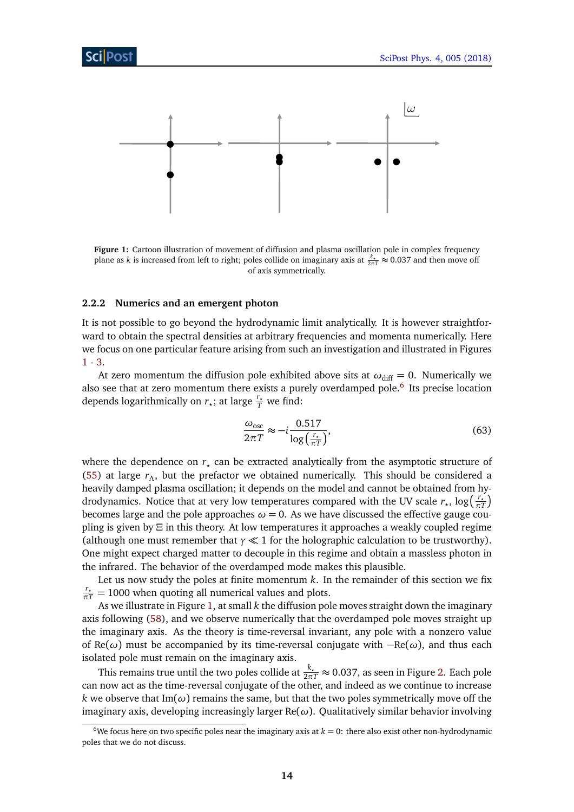<span id="page-13-1"></span>

**Figure 1:** Cartoon illustration of movement of diffusion and plasma oscillation pole in complex frequency plane as *k* is increased from left to right; poles collide on imaginary axis at  $\frac{k}{2\pi T} \approx 0.037$  and then move off of axis symmetrically.

### <span id="page-13-0"></span>**2.2.2 Numerics and an emergent photon**

It is not possible to go beyond the hydrodynamic limit analytically. It is however straightforward to obtain the spectral densities at arbitrary frequencies and momenta numerically. Here we focus on one particular feature arising from such an investigation and illustrated in Figures [1](#page-13-1) - [3.](#page-15-1)

At zero momentum the diffusion pole exhibited above sits at  $\omega_{\text{diff}} = 0$ . Numerically we also see that at zero momentum there exists a purely overdamped pole.<sup>[6](#page-13-2)</sup> Its precise location depends logarithmically on  $r_{\star}$ ; at large  $\frac{r_{\star}}{T}$  we find:

<span id="page-13-3"></span>
$$
\frac{\omega_{\text{osc}}}{2\pi T} \approx -i \frac{0.517}{\log\left(\frac{r_*}{\pi T}\right)},\tag{63}
$$

where the dependence on  $r_{\star}$  can be extracted analytically from the asymptotic structure of [\(55\)](#page-11-5) at large *rΛ*, but the prefactor we obtained numerically. This should be considered a heavily damped plasma oscillation; it depends on the model and cannot be obtained from hydrodynamics. Notice that at very low temperatures compared with the UV scale  $r_{\star}$ ,  $\log(\frac{r_{\star}}{\pi T})$ becomes large and the pole approaches  $\omega = 0$ . As we have discussed the effective gauge coupling is given by *Ξ* in this theory. At low temperatures it approaches a weakly coupled regime (although one must remember that  $\gamma \ll 1$  for the holographic calculation to be trustworthy). One might expect charged matter to decouple in this regime and obtain a massless photon in the infrared. The behavior of the overdamped mode makes this plausible.

Let us now study the poles at finite momentum *k*. In the remainder of this section we fix  $\frac{r_{\star}}{2\pi T}$  = 1000 when quoting all numerical values and plots.

As we illustrate in Figure [1,](#page-13-1) at small *k* the diffusion pole moves straight down the imaginary axis following [\(58\)](#page-12-0), and we observe numerically that the overdamped pole moves straight up the imaginary axis. As the theory is time-reversal invariant, any pole with a nonzero value of Re(*ω*) must be accompanied by its time-reversal conjugate with −Re(*ω*), and thus each isolated pole must remain on the imaginary axis.

This remains true until the two poles collide at  $\frac{k_\star}{2\pi T}\approx 0.037$ , as seen in Figure [2.](#page-14-1) Each pole can now act as the time-reversal conjugate of the other, and indeed as we continue to increase *k* we observe that Im( $\omega$ ) remains the same, but that the two poles symmetrically move off the imaginary axis, developing increasingly larger Re(*ω*). Qualitatively similar behavior involving

<span id="page-13-2"></span><sup>&</sup>lt;sup>6</sup>We focus here on two specific poles near the imaginary axis at  $k = 0$ : there also exist other non-hydrodynamic poles that we do not discuss.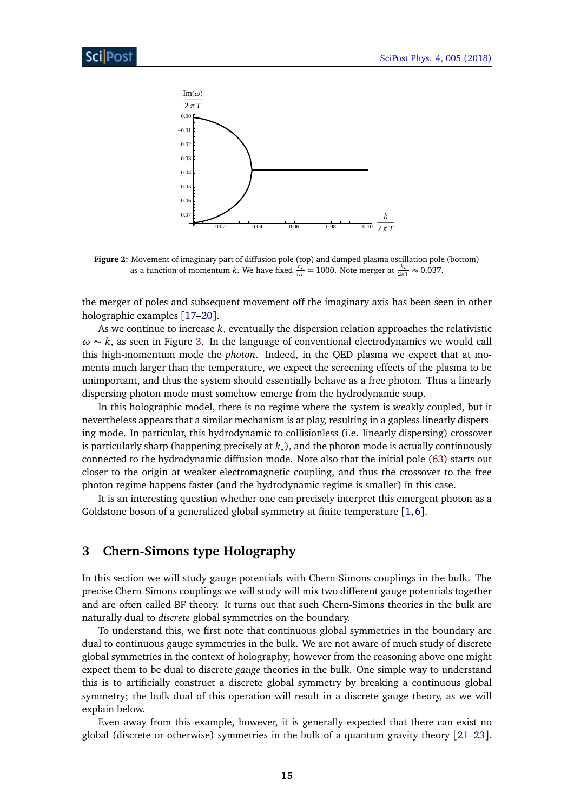<span id="page-14-1"></span>

**Figure 2:** Movement of imaginary part of diffusion pole (top) and damped plasma oscillation pole (bottom) as a function of momentum *k*. We have fixed  $\frac{r_{\star}}{\pi T} = 1000$ . Note merger at  $\frac{k_{\star}}{2\pi T} \approx 0.037$ .

the merger of poles and subsequent movement off the imaginary axis has been seen in other holographic examples [[17–](#page-33-8)[20](#page-33-9)].

As we continue to increase *k*, eventually the dispersion relation approaches the relativistic *ω* ∼ *k*, as seen in Figure [3.](#page-15-1) In the language of conventional electrodynamics we would call this high-momentum mode the *photon*. Indeed, in the QED plasma we expect that at momenta much larger than the temperature, we expect the screening effects of the plasma to be unimportant, and thus the system should essentially behave as a free photon. Thus a linearly dispersing photon mode must somehow emerge from the hydrodynamic soup.

In this holographic model, there is no regime where the system is weakly coupled, but it nevertheless appears that a similar mechanism is at play, resulting in a gapless linearly dispersing mode. In particular, this hydrodynamic to collisionless (i.e. linearly dispersing) crossover is particularly sharp (happening precisely at *k?* ), and the photon mode is actually continuously connected to the hydrodynamic diffusion mode. Note also that the initial pole [\(63\)](#page-13-3) starts out closer to the origin at weaker electromagnetic coupling, and thus the crossover to the free photon regime happens faster (and the hydrodynamic regime is smaller) in this case.

It is an interesting question whether one can precisely interpret this emergent photon as a Goldstone boson of a generalized global symmetry at finite temperature  $[1,6]$  $[1,6]$  $[1,6]$  $[1,6]$ .

## <span id="page-14-0"></span>**3 Chern-Simons type Holography**

In this section we will study gauge potentials with Chern-Simons couplings in the bulk. The precise Chern-Simons couplings we will study will mix two different gauge potentials together and are often called BF theory. It turns out that such Chern-Simons theories in the bulk are naturally dual to *discrete* global symmetries on the boundary.

To understand this, we first note that continuous global symmetries in the boundary are dual to continuous gauge symmetries in the bulk. We are not aware of much study of discrete global symmetries in the context of holography; however from the reasoning above one might expect them to be dual to discrete *gauge* theories in the bulk. One simple way to understand this is to artificially construct a discrete global symmetry by breaking a continuous global symmetry; the bulk dual of this operation will result in a discrete gauge theory, as we will explain below.

Even away from this example, however, it is generally expected that there can exist no global (discrete or otherwise) symmetries in the bulk of a quantum gravity theory [[21](#page-33-10)[–23](#page-33-11)].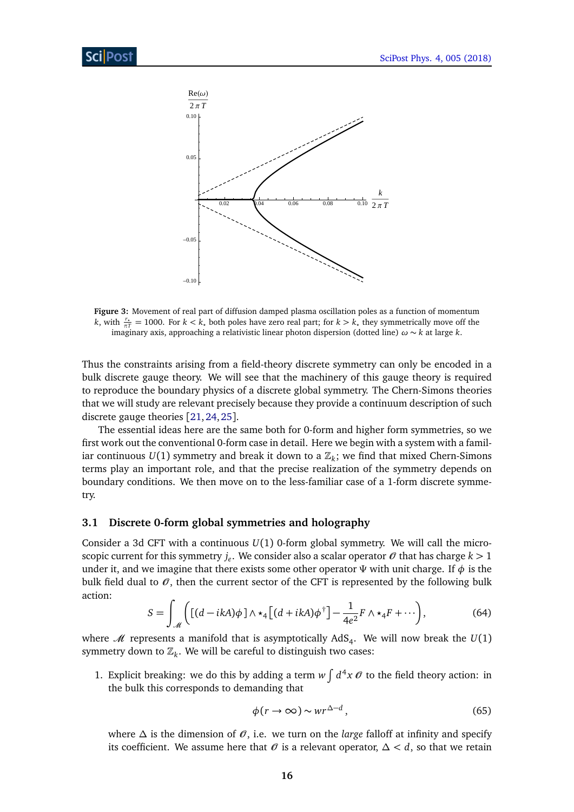<span id="page-15-1"></span>

**Figure 3:** Movement of real part of diffusion damped plasma oscillation poles as a function of momentum *k*, with  $\frac{r_{*}}{\pi T}$  = 1000. For  $k < k_{*}$  both poles have zero real part; for  $k > k_{*}$  they symmetrically move off the imaginary axis, approaching a relativistic linear photon dispersion (dotted line) *ω* ∼ *k* at large *k*.

Thus the constraints arising from a field-theory discrete symmetry can only be encoded in a bulk discrete gauge theory. We will see that the machinery of this gauge theory is required to reproduce the boundary physics of a discrete global symmetry. The Chern-Simons theories that we will study are relevant precisely because they provide a continuum description of such discrete gauge theories [[21,](#page-33-10)[24,](#page-33-12)[25](#page-34-0)].

The essential ideas here are the same both for 0-form and higher form symmetries, so we first work out the conventional 0-form case in detail. Here we begin with a system with a familiar continuous  $U(1)$  symmetry and break it down to a  $\mathbb{Z}_k$ ; we find that mixed Chern-Simons terms play an important role, and that the precise realization of the symmetry depends on boundary conditions. We then move on to the less-familiar case of a 1-form discrete symmetry.

### <span id="page-15-0"></span>**3.1 Discrete 0-form global symmetries and holography**

Consider a 3d CFT with a continuous *U*(1) 0-form global symmetry. We will call the microscopic current for this symmetry  $j_e$ . We consider also a scalar operator  $\mathscr O$  that has charge  $k > 1$ under it, and we imagine that there exists some other operator  $\Psi$  with unit charge. If  $\phi$  is the bulk field dual to  $\mathcal O$ , then the current sector of the CFT is represented by the following bulk action:

<span id="page-15-3"></span>
$$
S = \int_{\mathcal{M}} \left( \left[ (d - ikA)\phi \right] \wedge \star_4 \left[ (d + ikA)\phi^{\dagger} \right] - \frac{1}{4e^2} F \wedge \star_4 F + \cdots \right),\tag{64}
$$

where  $\mathcal M$  represents a manifold that is asymptotically AdS<sub>4</sub>. We will now break the  $U(1)$ symmetry down to  $\mathbb{Z}_k$ . We will be careful to distinguish two cases:

1. Explicit breaking: we do this by adding a term  $w \int d^4x \mathcal{O}$  to the field theory action: in the bulk this corresponds to demanding that

<span id="page-15-2"></span>
$$
\phi(r \to \infty) \sim wr^{\Delta - d},\tag{65}
$$

where  $\Delta$  is the dimension of  $\mathcal{O}$ , i.e. we turn on the *large* falloff at infinity and specify its coefficient. We assume here that  $\emptyset$  is a relevant operator,  $\Delta < d$ , so that we retain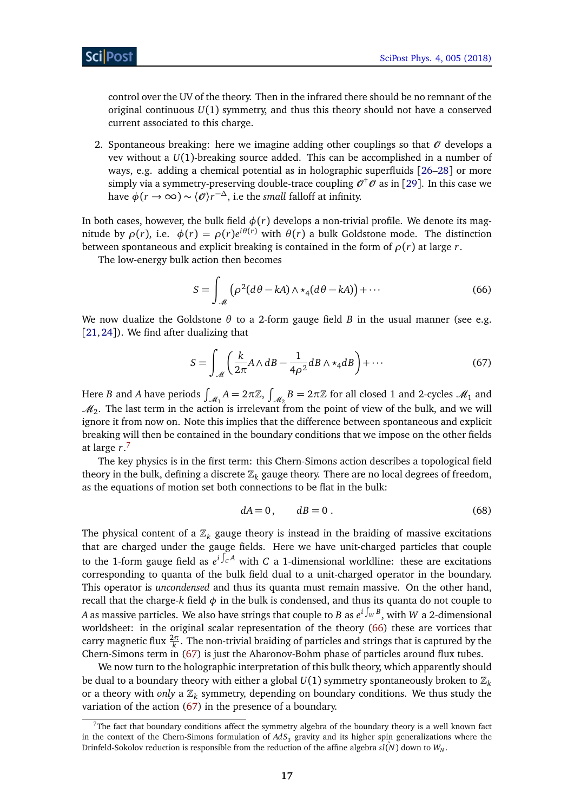control over the UV of the theory. Then in the infrared there should be no remnant of the original continuous *U*(1) symmetry, and thus this theory should not have a conserved current associated to this charge.

2. Spontaneous breaking: here we imagine adding other couplings so that  $\mathcal O$  develops a vev without a *U*(1)-breaking source added. This can be accomplished in a number of ways, e.g. adding a chemical potential as in holographic superfluids [[26–](#page-34-1)[28](#page-34-2)] or more simply via a symmetry-preserving double-trace coupling  $\mathscr{O}^\dagger{\mathscr{O}}$  as in [[29](#page-34-3)]. In this case we have  $\phi(r \to \infty) \sim \langle \mathcal{O} \rangle r^{-\Delta}$ , i.e the *small* falloff at infinity.

In both cases, however, the bulk field  $\phi(r)$  develops a non-trivial profile. We denote its magnitude by  $ρ(r)$ , i.e.  $φ(r) = ρ(r)e^{iθ(r)}$  with  $θ(r)$  a bulk Goldstone mode. The distinction between spontaneous and explicit breaking is contained in the form of *ρ*(*r*) at large *r*.

The low-energy bulk action then becomes

<span id="page-16-1"></span>
$$
S = \int_{\mathcal{M}} \left( \rho^2 (d\theta - kA) \wedge \star_4 (d\theta - kA) \right) + \cdots \tag{66}
$$

We now dualize the Goldstone  $\theta$  to a 2-form gauge field *B* in the usual manner (see e.g. [[21,](#page-33-10) [24](#page-33-12)]). We find after dualizing that

<span id="page-16-2"></span>
$$
S = \int_{\mathcal{M}} \left( \frac{k}{2\pi} A \wedge dB - \frac{1}{4\rho^2} dB \wedge \star_4 dB \right) + \cdots
$$
 (67)

Here *B* and *A* have periods  $\int_{\mathcal{M}_1} A = 2\pi \mathbb{Z}$ ,  $\int_{\mathcal{M}_2} B = 2\pi \mathbb{Z}$  for all closed 1 and 2-cycles  $\mathcal{M}_1$  and  $\mathcal{M}_2$ . The last term in the action is irrelevant from the point of view of the bulk, and we will ignore it from now on. Note this implies that the difference between spontaneous and explicit breaking will then be contained in the boundary conditions that we impose on the other fields at large *r*. [7](#page-16-0)

The key physics is in the first term: this Chern-Simons action describes a topological field theory in the bulk, defining a discrete  $\mathbb{Z}_k$  gauge theory. There are no local degrees of freedom, as the equations of motion set both connections to be flat in the bulk:

<span id="page-16-3"></span>
$$
dA = 0, \qquad dB = 0. \tag{68}
$$

The physical content of a  $\mathbb{Z}_k$  gauge theory is instead in the braiding of massive excitations that are charged under the gauge fields. Here we have unit-charged particles that couple to the 1-form gauge field as  $e^{i\int_C A}$  with *C* a 1-dimensional worldline: these are excitations corresponding to quanta of the bulk field dual to a unit-charged operator in the boundary. This operator is *uncondensed* and thus its quanta must remain massive. On the other hand, recall that the charge-*k* field  $\phi$  in the bulk is condensed, and thus its quanta do not couple to *A* as massive particles. We also have strings that couple to *B* as  $e^{i\int_W B}$ , with *W* a 2-dimensional worldsheet: in the original scalar representation of the theory [\(66\)](#page-16-1) these are vortices that carry magnetic flux  $\frac{2\pi}{k}$ . The non-trivial braiding of particles and strings that is captured by the Chern-Simons term in [\(67\)](#page-16-2) is just the Aharonov-Bohm phase of particles around flux tubes.

We now turn to the holographic interpretation of this bulk theory, which apparently should be dual to a boundary theory with either a global  $U(1)$  symmetry spontaneously broken to  $\mathbb{Z}_k$ or a theory with *only* a Z*<sup>k</sup>* symmetry, depending on boundary conditions. We thus study the variation of the action [\(67\)](#page-16-2) in the presence of a boundary.

<span id="page-16-0"></span> $7$ The fact that boundary conditions affect the symmetry algebra of the boundary theory is a well known fact in the context of the Chern-Simons formulation of  $AdS<sub>3</sub>$  gravity and its higher spin generalizations where the Drinfeld-Sokolov reduction is responsible from the reduction of the affine algebra  $sl(N)$  down to  $W_N$ .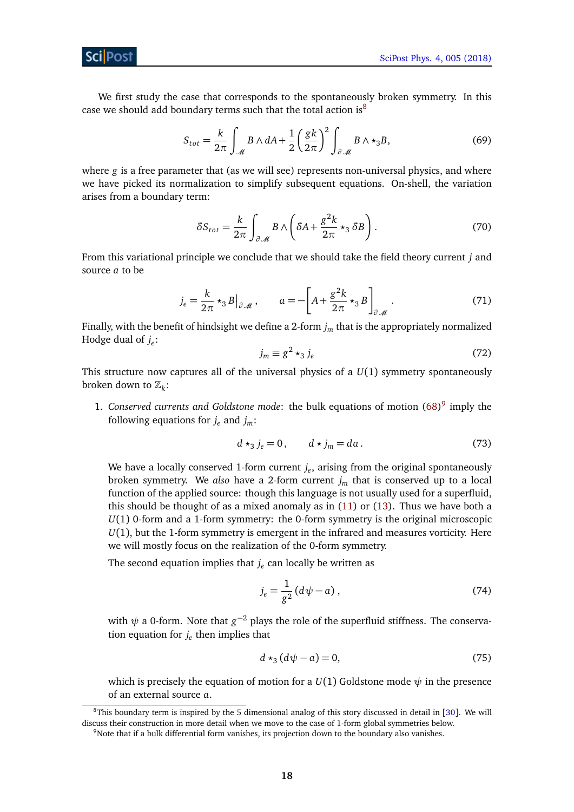We first study the case that corresponds to the spontaneously broken symmetry. In this case we should add boundary terms such that the total action is<sup>[8](#page-17-0)</sup>

<span id="page-17-3"></span>
$$
S_{tot} = \frac{k}{2\pi} \int_{\mathcal{M}} B \wedge dA + \frac{1}{2} \left(\frac{gk}{2\pi}\right)^2 \int_{\partial \mathcal{M}} B \wedge \star_3 B,\tag{69}
$$

where *g* is a free parameter that (as we will see) represents non-universal physics, and where we have picked its normalization to simplify subsequent equations. On-shell, the variation arises from a boundary term:

$$
\delta S_{tot} = \frac{k}{2\pi} \int_{\partial \mathcal{M}} B \wedge \left( \delta A + \frac{g^2 k}{2\pi} \star_3 \delta B \right). \tag{70}
$$

<span id="page-17-2"></span>From this variational principle we conclude that we should take the field theory current *j* and source *a* to be

$$
j_e = \frac{k}{2\pi} \star_3 B \big|_{\partial \mathcal{M}}, \qquad a = -\bigg[A + \frac{g^2 k}{2\pi} \star_3 B\bigg]_{\partial \mathcal{M}}.
$$
 (71)

Finally, with the benefit of hindsight we define a 2-form *j<sup>m</sup>* that is the appropriately normalized Hodge dual of *j<sup>e</sup>* :

$$
j_m \equiv g^2 \star_3 j_e \tag{72}
$$

This structure now captures all of the universal physics of a *U*(1) symmetry spontaneously broken down to  $\mathbb{Z}_k$ :

1. *Conserved currents and Goldstone mode*: the bulk equations of motion [\(68\)](#page-16-3) [9](#page-17-1) imply the following equations for  $j_e$  and  $j_m$ :

<span id="page-17-4"></span>
$$
d \star_3 j_e = 0, \qquad d \star j_m = da \,. \tag{73}
$$

We have a locally conserved 1-form current *j<sup>e</sup>* , arising from the original spontaneously broken symmetry. We *also* have a 2-form current  $j_m$  that is conserved up to a local function of the applied source: though this language is not usually used for a superfluid, this should be thought of as a mixed anomaly as in [\(11\)](#page-4-1) or [\(13\)](#page-4-4). Thus we have both a *U*(1) 0-form and a 1-form symmetry: the 0-form symmetry is the original microscopic *U*(1), but the 1-form symmetry is emergent in the infrared and measures vorticity. Here we will mostly focus on the realization of the 0-form symmetry.

The second equation implies that *j<sup>e</sup>* can locally be written as

$$
j_e = \frac{1}{g^2} (d\psi - a) , \t\t(74)
$$

with  $\psi$  a 0-form. Note that  $g^{-2}$  plays the role of the superfluid stiffness. The conservation equation for  $j_e$  then implies that

$$
d \star_3 (d\psi - a) = 0,\tag{75}
$$

which is precisely the equation of motion for a  $U(1)$  Goldstone mode  $\psi$  in the presence of an external source *a*.

<span id="page-17-0"></span><sup>&</sup>lt;sup>8</sup>This boundary term is inspired by the 5 dimensional analog of this story discussed in detail in [[30](#page-34-4)]. We will discuss their construction in more detail when we move to the case of 1-form global symmetries below.

<span id="page-17-1"></span><sup>9</sup>Note that if a bulk differential form vanishes, its projection down to the boundary also vanishes.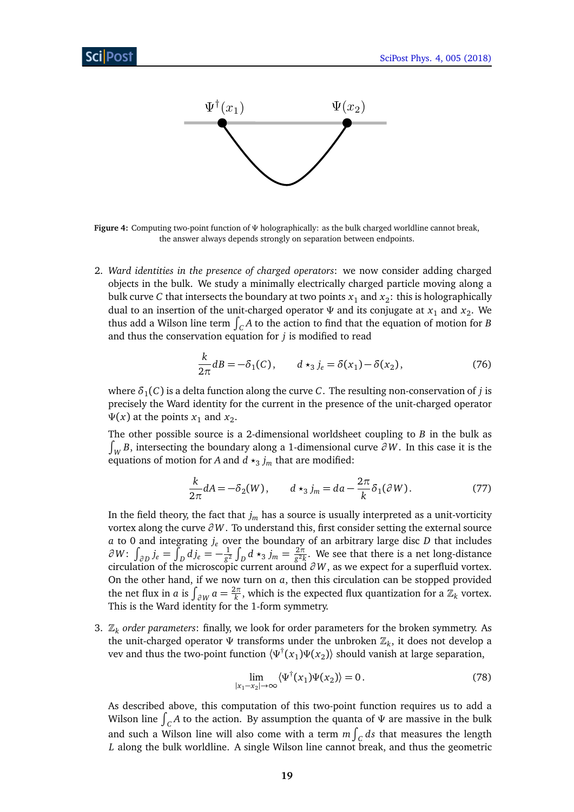<span id="page-18-0"></span>

**Figure 4:** Computing two-point function of *Ψ* holographically: as the bulk charged worldline cannot break, the answer always depends strongly on separation between endpoints.

2. *Ward identities in the presence of charged operators*: we now consider adding charged objects in the bulk. We study a minimally electrically charged particle moving along a bulk curve  $C$  that intersects the boundary at two points  $x_1$  and  $x_2$ : this is holographically dual to an insertion of the unit-charged operator *Ψ* and its conjugate at *x*<sup>1</sup> and *x*<sup>2</sup> . We thus add a Wilson line term  $\int_C A$  to the action to find that the equation of motion for *B* and thus the conservation equation for *j* is modified to read

<span id="page-18-1"></span>
$$
\frac{k}{2\pi}dB = -\delta_1(C), \qquad d \star_3 j_e = \delta(x_1) - \delta(x_2), \tag{76}
$$

where  $\delta_1(\mathcal{C})$  is a delta function along the curve  $\mathcal{C}.$  The resulting non-conservation of  $j$  is precisely the Ward identity for the current in the presence of the unit-charged operator  $Ψ(x)$  at the points  $x_1$  and  $x_2$ .

The other possible source is a 2-dimensional worldsheet coupling to *B* in the bulk as R *W B*, intersecting the boundary along a 1-dimensional curve *∂ W*. In this case it is the equations of motion for *A* and  $d \star_3 j_m$  that are modified:

<span id="page-18-2"></span>
$$
\frac{k}{2\pi}dA = -\delta_2(W), \qquad d \star_3 j_m = da - \frac{2\pi}{k}\delta_1(\partial W). \tag{77}
$$

In the field theory, the fact that  $j_m$  has a source is usually interpreted as a unit-vorticity vortex along the curve *∂ W*. To understand this, first consider setting the external source *a* to 0 and integrating *j<sup>e</sup>* over the boundary of an arbitrary large disc *D* that includes  $\partial W$ :  $\int_{\partial D} j_e = \int_D dj_e = -\frac{1}{g^2}$  $\frac{1}{g^2} \int_D d \star_3 j_m = \frac{2\pi}{g^2 k}$  $\frac{2\pi}{g^2k}$ . We see that there is a net long-distance circulation of the microscopic current around *∂ W*, as we expect for a superfluid vortex. On the other hand, if we now turn on *a*, then this circulation can be stopped provided the net flux in *a* is  $\int_{\partial W} a = \frac{2\pi}{k}$  $\frac{2\pi}{k}$ , which is the expected flux quantization for a  $\mathbb{Z}_k$  vortex. This is the Ward identity for the 1-form symmetry.

3. Z*<sup>k</sup> order parameters*: finally, we look for order parameters for the broken symmetry. As the unit-charged operator *Ψ* transforms under the unbroken Z*<sup>k</sup>* , it does not develop a vev and thus the two-point function  $\langle \Psi^\dagger(x_1) \Psi(x_2) \rangle$  should vanish at large separation,

<span id="page-18-3"></span>
$$
\lim_{|x_1 - x_2| \to \infty} \langle \Psi^\dagger(x_1) \Psi(x_2) \rangle = 0. \tag{78}
$$

As described above, this computation of this two-point function requires us to add a Wilson line  $\int_C A$  to the action. By assumption the quanta of  $\Psi$  are massive in the bulk and such a Wilson line will also come with a term  $m \int_C ds$  that measures the length *L* along the bulk worldline. A single Wilson line cannot break, and thus the geometric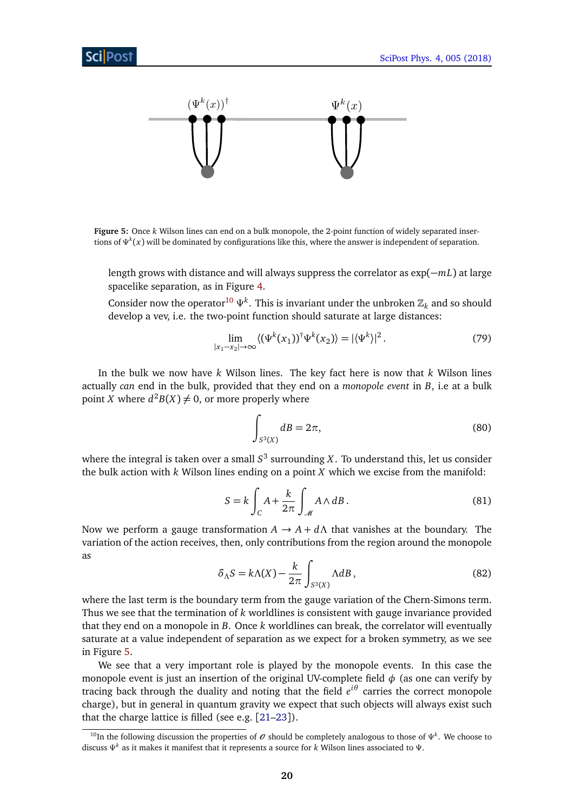<span id="page-19-1"></span>

**Figure 5:** Once *k* Wilson lines can end on a bulk monopole, the 2-point function of widely separated insertions of *Ψ k* (*x*) will be dominated by configurations like this, where the answer is independent of separation.

length grows with distance and will always suppress the correlator as exp(−*mL*) at large spacelike separation, as in Figure [4.](#page-18-0)

Consider now the operator $^{10}$  $^{10}$  $^{10}$   $\Psi^k.$  This is invariant under the unbroken  $\mathbb{Z}_k$  and so should develop a vev, i.e. the two-point function should saturate at large distances:

$$
\lim_{|x_1 - x_2| \to \infty} \langle (\Psi^k(x_1))^{\dagger} \Psi^k(x_2) \rangle = |\langle \Psi^k \rangle|^2. \tag{79}
$$

In the bulk we now have *k* Wilson lines. The key fact here is now that *k* Wilson lines actually *can* end in the bulk, provided that they end on a *monopole event* in *B*, i.e at a bulk point *X* where  $d^2B(X) \neq 0$ , or more properly where

<span id="page-19-3"></span><span id="page-19-2"></span>
$$
\int_{S^3(X)} dB = 2\pi,\tag{80}
$$

where the integral is taken over a small *S* 3 surrounding *X*. To understand this, let us consider the bulk action with *k* Wilson lines ending on a point *X* which we excise from the manifold:

$$
S = k \int_C A + \frac{k}{2\pi} \int_{\mathcal{M}} A \wedge dB.
$$
 (81)

Now we perform a gauge transformation *A* → *A* + *dΛ* that vanishes at the boundary. The variation of the action receives, then, only contributions from the region around the monopole as

$$
\delta_{\Lambda} S = k\Lambda(X) - \frac{k}{2\pi} \int_{S^3(X)} \Lambda dB, \qquad (82)
$$

where the last term is the boundary term from the gauge variation of the Chern-Simons term. Thus we see that the termination of *k* worldlines is consistent with gauge invariance provided that they end on a monopole in *B*. Once *k* worldlines can break, the correlator will eventually saturate at a value independent of separation as we expect for a broken symmetry, as we see in Figure [5.](#page-19-1)

We see that a very important role is played by the monopole events. In this case the monopole event is just an insertion of the original UV-complete field  $\phi$  (as one can verify by tracing back through the duality and noting that the field *e iθ* carries the correct monopole charge), but in general in quantum gravity we expect that such objects will always exist such that the charge lattice is filled (see e.g. [[21](#page-33-10)[–23](#page-33-11)]).

<span id="page-19-0"></span><sup>&</sup>lt;sup>10</sup>In the following discussion the properties of  $\theta$  should be completely analogous to those of  $\Psi^k$ . We choose to discuss *Ψ k* as it makes it manifest that it represents a source for *k* Wilson lines associated to *Ψ*.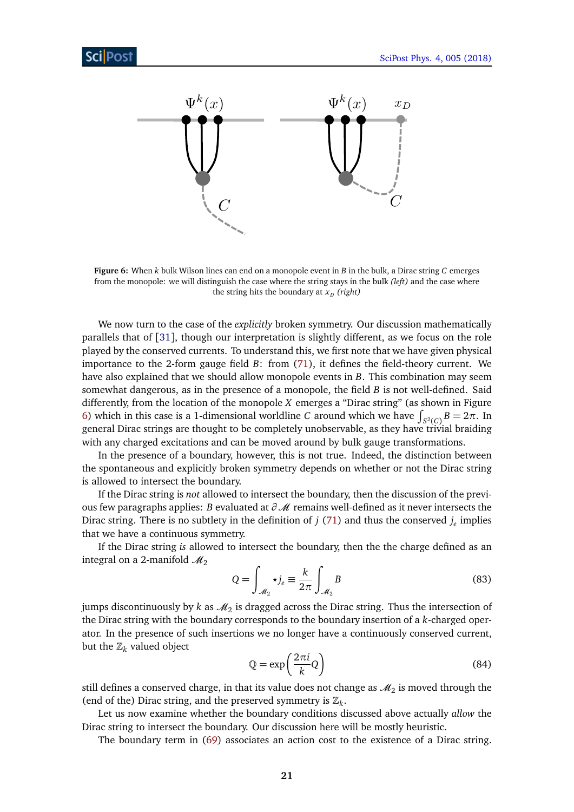<span id="page-20-0"></span>

**Figure 6:** When *k* bulk Wilson lines can end on a monopole event in *B* in the bulk, a Dirac string *C* emerges from the monopole: we will distinguish the case where the string stays in the bulk *(left)* and the case where the string hits the boundary at *x*<sub>*D*</sub> (right)

We now turn to the case of the *explicitly* broken symmetry. Our discussion mathematically parallels that of [[31](#page-34-5)], though our interpretation is slightly different, as we focus on the role played by the conserved currents. To understand this, we first note that we have given physical importance to the 2-form gauge field *B*: from [\(71\)](#page-17-2), it defines the field-theory current. We have also explained that we should allow monopole events in *B*. This combination may seem somewhat dangerous, as in the presence of a monopole, the field *B* is not well-defined. Said differently, from the location of the monopole *X* emerges a "Dirac string" (as shown in Figure [6\)](#page-20-0) which in this case is a 1-dimensional worldline *C* around which we have  $\int_{S^2(C)} B = 2\pi$ . In general Dirac strings are thought to be completely unobservable, as they have trivial braiding with any charged excitations and can be moved around by bulk gauge transformations.

In the presence of a boundary, however, this is not true. Indeed, the distinction between the spontaneous and explicitly broken symmetry depends on whether or not the Dirac string is allowed to intersect the boundary.

If the Dirac string is *not* allowed to intersect the boundary, then the discussion of the previous few paragraphs applies: *B* evaluated at *∂* M remains well-defined as it never intersects the Dirac string. There is no subtlety in the definition of *j* [\(71\)](#page-17-2) and thus the conserved *j<sup>e</sup>* implies that we have a continuous symmetry.

If the Dirac string *is* allowed to intersect the boundary, then the the charge defined as an integral on a 2-manifold  $\mathcal{M}_2$ 

$$
Q = \int_{\mathcal{M}_2} \star j_e \equiv \frac{k}{2\pi} \int_{\mathcal{M}_2} B
$$
 (83)

jumps discontinuously by  $k$  as  $\mathscr{M}_2$  is dragged across the Dirac string. Thus the intersection of the Dirac string with the boundary corresponds to the boundary insertion of a *k*-charged operator. In the presence of such insertions we no longer have a continuously conserved current, but the  $\mathbb{Z}_k$  valued object

<span id="page-20-1"></span>
$$
\mathbb{Q} = \exp\left(\frac{2\pi i}{k}Q\right) \tag{84}
$$

still defines a conserved charge, in that its value does not change as  $\mathscr{M}_2$  is moved through the (end of the) Dirac string, and the preserved symmetry is  $\mathbb{Z}_k$ .

Let us now examine whether the boundary conditions discussed above actually *allow* the Dirac string to intersect the boundary. Our discussion here will be mostly heuristic.

The boundary term in [\(69\)](#page-17-3) associates an action cost to the existence of a Dirac string.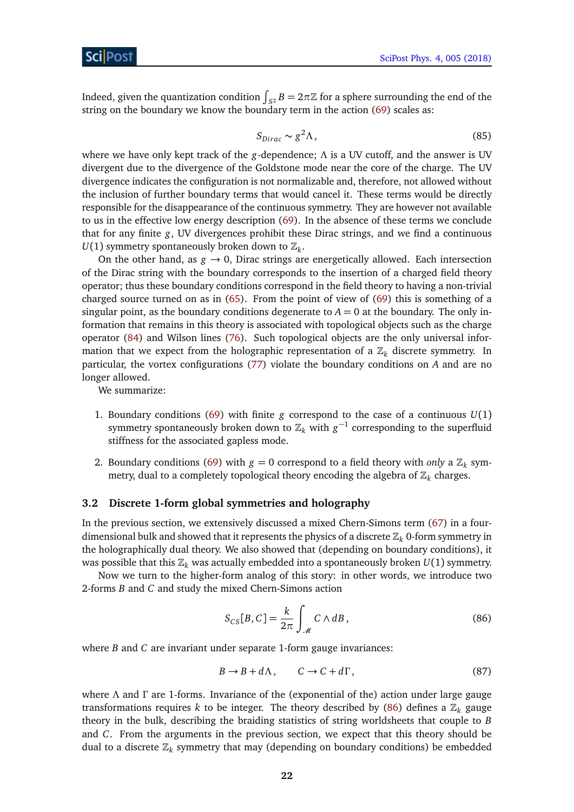<span id="page-21-2"></span>Indeed, given the quantization condition  $\int_{S^2} B = 2\pi \mathbb{Z}$  for a sphere surrounding the end of the string on the boundary we know the boundary term in the action [\(69\)](#page-17-3) scales as:

$$
S_{Dirac} \sim g^2 \Lambda, \tag{85}
$$

where we have only kept track of the *g*-dependence; *Λ* is a UV cutoff, and the answer is UV divergent due to the divergence of the Goldstone mode near the core of the charge. The UV divergence indicates the configuration is not normalizable and, therefore, not allowed without the inclusion of further boundary terms that would cancel it. These terms would be directly responsible for the disappearance of the continuous symmetry. They are however not available to us in the effective low energy description [\(69\)](#page-17-3). In the absence of these terms we conclude that for any finite *g*, UV divergences prohibit these Dirac strings, and we find a continuous  $U(1)$  symmetry spontaneously broken down to  $\mathbb{Z}_k$ .

On the other hand, as  $g \rightarrow 0$ , Dirac strings are energetically allowed. Each intersection of the Dirac string with the boundary corresponds to the insertion of a charged field theory operator; thus these boundary conditions correspond in the field theory to having a non-trivial charged source turned on as in [\(65\)](#page-15-2). From the point of view of [\(69\)](#page-17-3) this is something of a singular point, as the boundary conditions degenerate to  $A = 0$  at the boundary. The only information that remains in this theory is associated with topological objects such as the charge operator [\(84\)](#page-20-1) and Wilson lines [\(76\)](#page-18-1). Such topological objects are the only universal information that we expect from the holographic representation of a  $\mathbb{Z}_k$  discrete symmetry. In particular, the vortex configurations [\(77\)](#page-18-2) violate the boundary conditions on *A* and are no longer allowed.

We summarize:

- 1. Boundary conditions [\(69\)](#page-17-3) with finite  $g$  correspond to the case of a continuous  $U(1)$ symmetry spontaneously broken down to  $\mathbb{Z}_k$  with  $g^{-1}$  corresponding to the superfluid stiffness for the associated gapless mode.
- 2. Boundary conditions [\(69\)](#page-17-3) with  $g = 0$  correspond to a field theory with *only* a  $\mathbb{Z}_k$  symmetry, dual to a completely topological theory encoding the algebra of  $\mathbb{Z}_k$  charges.

#### <span id="page-21-0"></span>**3.2 Discrete 1-form global symmetries and holography**

In the previous section, we extensively discussed a mixed Chern-Simons term [\(67\)](#page-16-2) in a fourdimensional bulk and showed that it represents the physics of a discrete  $\mathbb{Z}_k$  0-form symmetry in the holographically dual theory. We also showed that (depending on boundary conditions), it was possible that this  $\mathbb{Z}_k$  was actually embedded into a spontaneously broken  $U(1)$  symmetry.

Now we turn to the higher-form analog of this story: in other words, we introduce two 2-forms *B* and *C* and study the mixed Chern-Simons action

<span id="page-21-1"></span>
$$
S_{CS}[B,C] = \frac{k}{2\pi} \int_{\mathcal{M}} C \wedge dB,
$$
\n(86)

where *B* and *C* are invariant under separate 1-form gauge invariances:

$$
B \to B + d\Lambda, \qquad C \to C + d\Gamma, \tag{87}
$$

where *Λ* and *Γ* are 1-forms. Invariance of the (exponential of the) action under large gauge transformations requires  $k$  to be integer. The theory described by [\(86\)](#page-21-1) defines a  $\mathbb{Z}_k$  gauge theory in the bulk, describing the braiding statistics of string worldsheets that couple to *B* and *C*. From the arguments in the previous section, we expect that this theory should be dual to a discrete  $\mathbb{Z}_k$  symmetry that may (depending on boundary conditions) be embedded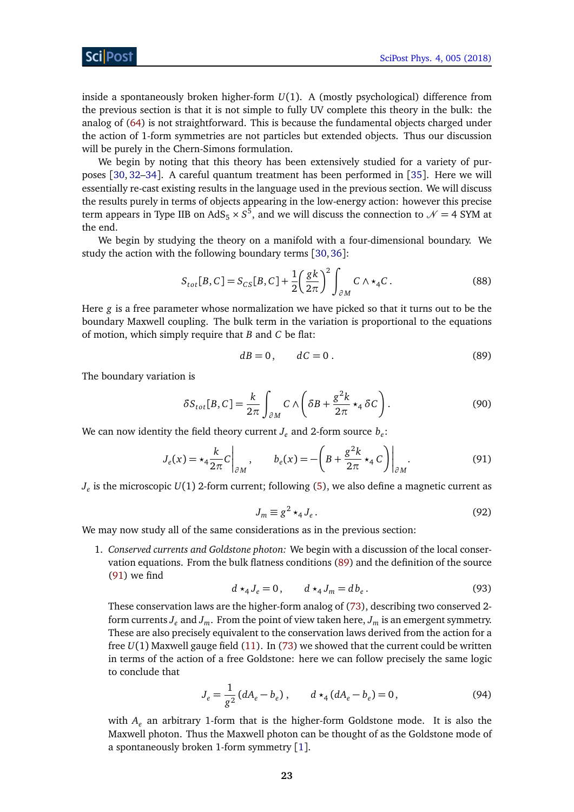inside a spontaneously broken higher-form *U*(1). A (mostly psychological) difference from the previous section is that it is not simple to fully UV complete this theory in the bulk: the analog of [\(64\)](#page-15-3) is not straightforward. This is because the fundamental objects charged under the action of 1-form symmetries are not particles but extended objects. Thus our discussion will be purely in the Chern-Simons formulation.

We begin by noting that this theory has been extensively studied for a variety of purposes [[30,](#page-34-4) [32–](#page-34-6)[34](#page-34-7)]. A careful quantum treatment has been performed in [[35](#page-34-8)]. Here we will essentially re-cast existing results in the language used in the previous section. We will discuss the results purely in terms of objects appearing in the low-energy action: however this precise term appears in Type IIB on  $AdS_5 \times S^5$ , and we will discuss the connection to  $\mathcal{N} = 4$  SYM at the end.

We begin by studying the theory on a manifold with a four-dimensional boundary. We study the action with the following boundary terms [[30,](#page-34-4)[36](#page-34-9)]:

$$
S_{tot}[B,C] = S_{CS}[B,C] + \frac{1}{2} \left(\frac{gk}{2\pi}\right)^2 \int_{\partial M} C \wedge \star_4 C.
$$
 (88)

Here *g* is a free parameter whose normalization we have picked so that it turns out to be the boundary Maxwell coupling. The bulk term in the variation is proportional to the equations of motion, which simply require that *B* and *C* be flat:

<span id="page-22-0"></span>
$$
dB = 0, \qquad dC = 0. \tag{89}
$$

The boundary variation is

$$
\delta S_{tot}[B, C] = \frac{k}{2\pi} \int_{\partial M} C \wedge \left( \delta B + \frac{g^2 k}{2\pi} \star_4 \delta C \right). \tag{90}
$$

We can now identity the field theory current  $J_e$  and 2-form source  $b_e$ :

$$
J_e(x) = \star_4 \frac{k}{2\pi} C \bigg|_{\partial M}, \qquad b_e(x) = -\bigg(B + \frac{g^2 k}{2\pi} \star_4 C\bigg) \bigg|_{\partial M}.
$$
 (91)

 $J_e$  is the microscopic  $U(1)$  2-form current; following [\(5\)](#page-3-4), we also define a magnetic current as

<span id="page-22-1"></span>
$$
J_m \equiv g^2 \star_4 J_e. \tag{92}
$$

We may now study all of the same considerations as in the previous section:

1. *Conserved currents and Goldstone photon:* We begin with a discussion of the local conservation equations. From the bulk flatness conditions [\(89\)](#page-22-0) and the definition of the source [\(91\)](#page-22-1) we find

$$
d \star_4 J_e = 0, \qquad d \star_4 J_m = d b_e. \tag{93}
$$

These conservation laws are the higher-form analog of [\(73\)](#page-17-4), describing two conserved 2 form currents  $J_e$  and  $J_m$ . From the point of view taken here,  $J_m$  is an emergent symmetry. These are also precisely equivalent to the conservation laws derived from the action for a free *U*(1) Maxwell gauge field [\(11\)](#page-4-1). In [\(73\)](#page-17-4) we showed that the current could be written in terms of the action of a free Goldstone: here we can follow precisely the same logic to conclude that

$$
J_e = \frac{1}{g^2} (dA_e - b_e), \qquad d \star_4 (dA_e - b_e) = 0, \tag{94}
$$

with *A<sup>e</sup>* an arbitrary 1-form that is the higher-form Goldstone mode. It is also the Maxwell photon. Thus the Maxwell photon can be thought of as the Goldstone mode of a spontaneously broken 1-form symmetry [[1](#page-32-1)].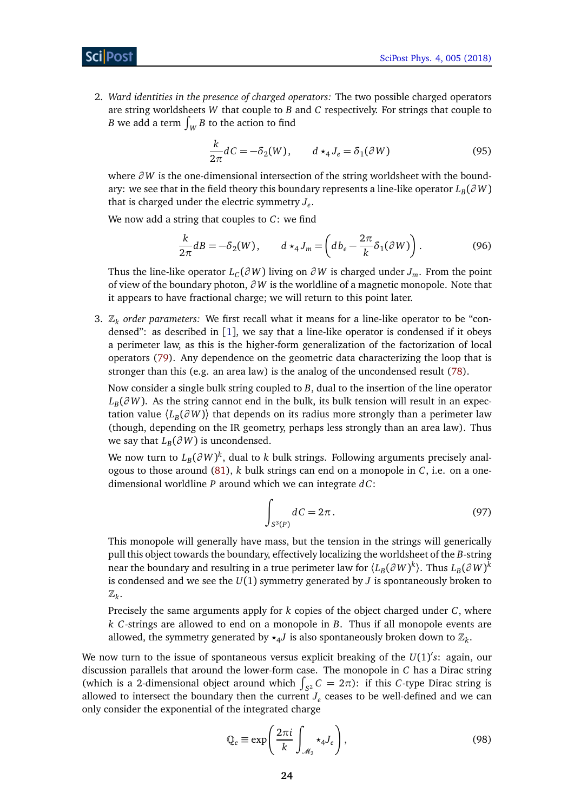2. *Ward identities in the presence of charged operators:* The two possible charged operators are string worldsheets *W* that couple to *B* and *C* respectively. For strings that couple to *B* we add a term  $\int_W B$  to the action to find

<span id="page-23-1"></span><span id="page-23-0"></span>
$$
\frac{k}{2\pi}dC = -\delta_2(W), \qquad d \star_4 J_e = \delta_1(\partial W) \tag{95}
$$

where *∂ W* is the one-dimensional intersection of the string worldsheet with the boundary: we see that in the field theory this boundary represents a line-like operator  $L_{B}(\partial\,W)$ that is charged under the electric symmetry *J<sup>e</sup>* .

We now add a string that couples to *C*: we find

$$
\frac{k}{2\pi}dB = -\delta_2(W), \qquad d \star_4 J_m = \left(d b_e - \frac{2\pi}{k} \delta_1(\partial W)\right). \tag{96}
$$

Thus the line-like operator  $L_C(\partial W)$  living on  $\partial W$  is charged under  $J_m$ . From the point of view of the boundary photon, *∂ W* is the worldline of a magnetic monopole. Note that it appears to have fractional charge; we will return to this point later.

3.  $\mathbb{Z}_k$  *order parameters:* We first recall what it means for a line-like operator to be "con-densed": as described in [[1](#page-32-1)], we say that a line-like operator is condensed if it obeys a perimeter law, as this is the higher-form generalization of the factorization of local operators [\(79\)](#page-19-2). Any dependence on the geometric data characterizing the loop that is stronger than this (e.g. an area law) is the analog of the uncondensed result [\(78\)](#page-18-3).

Now consider a single bulk string coupled to *B*, dual to the insertion of the line operator *LB* (*∂ W*). As the string cannot end in the bulk, its bulk tension will result in an expectation value  $\langle L_B(\partial W) \rangle$  that depends on its radius more strongly than a perimeter law (though, depending on the IR geometry, perhaps less strongly than an area law). Thus we say that  $L_B(\partial W)$  is uncondensed.

We now turn to  $L_{B}(\partial W)^{k}$ , dual to  $k$  bulk strings. Following arguments precisely analogous to those around [\(81\)](#page-19-3), *k* bulk strings can end on a monopole in *C*, i.e. on a onedimensional worldline *P* around which we can integrate *dC*:

$$
\int_{S^3(P)} dC = 2\pi.
$$
\n(97)

This monopole will generally have mass, but the tension in the strings will generically pull this object towards the boundary, effectively localizing the worldsheet of the *B*-string near the boundary and resulting in a true perimeter law for  $\langle L_B(\partial\,W)^k\rangle.$  Thus  $L_B(\partial W)^k$ is condensed and we see the *U*(1) symmetry generated by *J* is spontaneously broken to Z*k* .

Precisely the same arguments apply for *k* copies of the object charged under *C*, where *k C*-strings are allowed to end on a monopole in *B*. Thus if all monopole events are allowed, the symmetry generated by  $\star_4 J$  is also spontaneously broken down to  $\mathbb{Z}_k$ .

We now turn to the issue of spontaneous versus explicit breaking of the  $U(1)'s$ : again, our discussion parallels that around the lower-form case. The monopole in *C* has a Dirac string (which is a 2-dimensional object around which  $\int_{S^2} C = 2\pi$ ): if this *C*-type Dirac string is allowed to intersect the boundary then the current  $J_e$  ceases to be well-defined and we can only consider the exponential of the integrated charge

$$
\mathbb{Q}_e \equiv \exp\left(\frac{2\pi i}{k} \int_{\mathcal{M}_2} \star_4 J_e\right),\tag{98}
$$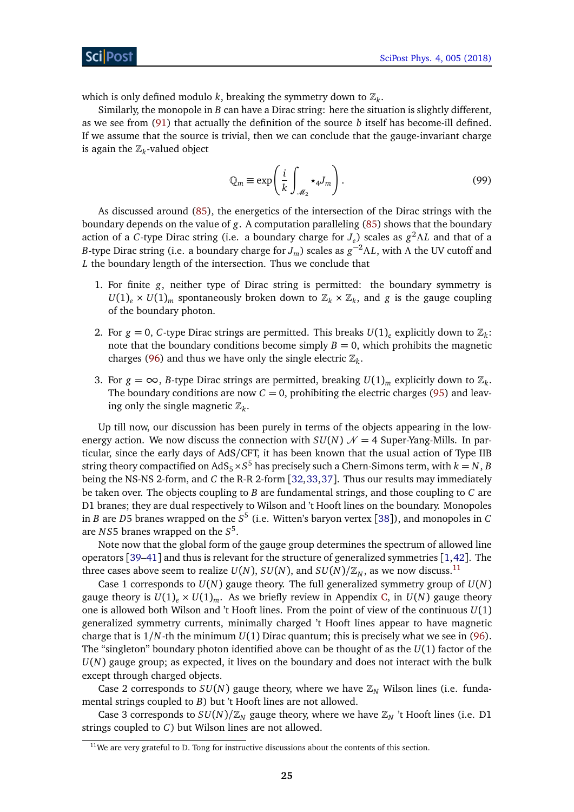### Sci Post

which is only defined modulo  $k$ , breaking the symmetry down to  $\mathbb{Z}_k$ .

Similarly, the monopole in *B* can have a Dirac string: here the situation is slightly different, as we see from [\(91\)](#page-22-1) that actually the definition of the source *b* itself has become-ill defined. If we assume that the source is trivial, then we can conclude that the gauge-invariant charge is again the Z*<sup>k</sup>* -valued object

$$
\mathbb{Q}_m \equiv \exp\left(\frac{i}{k} \int_{\mathcal{M}_2} \star_4 J_m\right). \tag{99}
$$

As discussed around [\(85\)](#page-21-2), the energetics of the intersection of the Dirac strings with the boundary depends on the value of *g*. A computation paralleling [\(85\)](#page-21-2) shows that the boundary action of a *C*-type Dirac string (i.e. a boundary charge for *J<sup>e</sup>* ) scales as *g* <sup>2</sup>*ΛL* and that of a *B*-type Dirac string (i.e. a boundary charge for  $J_m$ ) scales as  $g^{-2}$ Λ*L*, with Λ the UV cutoff and *L* the boundary length of the intersection. Thus we conclude that

- 1. For finite *g*, neither type of Dirac string is permitted: the boundary symmetry is  $U(1)_e \times U(1)_m$  spontaneously broken down to  $\mathbb{Z}_k \times \mathbb{Z}_k$ , and *g* is the gauge coupling of the boundary photon.
- 2. For  $g = 0$ , *C*-type Dirac strings are permitted. This breaks  $U(1)_e$  explicitly down to  $\mathbb{Z}_k$ : note that the boundary conditions become simply  $B = 0$ , which prohibits the magnetic charges [\(96\)](#page-23-0) and thus we have only the single electric  $\mathbb{Z}_k$ .
- 3. For  $g = \infty$ , *B*-type Dirac strings are permitted, breaking  $U(1)_m$  explicitly down to  $\mathbb{Z}_k$ . The boundary conditions are now  $C = 0$ , prohibiting the electric charges [\(95\)](#page-23-1) and leaving only the single magnetic  $\mathbb{Z}_k$ .

Up till now, our discussion has been purely in terms of the objects appearing in the lowenergy action. We now discuss the connection with  $SU(N)$   $\mathcal{N}=4$  Super-Yang-Mills. In particular, since the early days of AdS/CFT, it has been known that the usual action of Type IIB string theory compactified on AdS<sub>5</sub>  $\times$  S<sup>5</sup> has precisely such a Chern-Simons term, with  $k = N$  , *B* being the NS-NS 2-form, and *C* the R-R 2-form [[32,](#page-34-6)[33,](#page-34-10)[37](#page-34-11)]. Thus our results may immediately be taken over. The objects coupling to *B* are fundamental strings, and those coupling to *C* are D1 branes; they are dual respectively to Wilson and 't Hooft lines on the boundary. Monopoles in *B* are *D*5 branes wrapped on the *S* 5 (i.e. Witten's baryon vertex [[38](#page-34-12)]), and monopoles in *C* are *N S*5 branes wrapped on the *S* 5 .

Note now that the global form of the gauge group determines the spectrum of allowed line operators [[39](#page-34-13)[–41](#page-35-0)] and thus is relevant for the structure of generalized symmetries [[1,](#page-32-1)[42](#page-35-1)]. The three cases above seem to realize  $U(N)$ ,  $SU(N)$ , and  $SU(N)/\mathbb{Z}_N$ , as we now discuss.<sup>[11](#page-24-0)</sup>

Case 1 corresponds to *U*(*N*) gauge theory. The full generalized symmetry group of *U*(*N*) gauge theory is  $U(1) \times U(1)_m$ . As we briefly review in Appendix [C,](#page-31-0) in  $U(N)$  gauge theory one is allowed both Wilson and 't Hooft lines. From the point of view of the continuous *U*(1) generalized symmetry currents, minimally charged 't Hooft lines appear to have magnetic charge that is 1*/N*-th the minimum *U*(1) Dirac quantum; this is precisely what we see in [\(96\)](#page-23-0). The "singleton" boundary photon identified above can be thought of as the *U*(1) factor of the *U*(*N*) gauge group; as expected, it lives on the boundary and does not interact with the bulk except through charged objects.

Case 2 corresponds to  $SU(N)$  gauge theory, where we have  $\mathbb{Z}_N$  Wilson lines (i.e. fundamental strings coupled to *B*) but 't Hooft lines are not allowed.

Case 3 corresponds to  $SU(N)/\mathbb{Z}_N$  gauge theory, where we have  $\mathbb{Z}_N$  't Hooft lines (i.e. D1 strings coupled to *C*) but Wilson lines are not allowed.

<span id="page-24-0"></span> $11$ We are very grateful to D. Tong for instructive discussions about the contents of this section.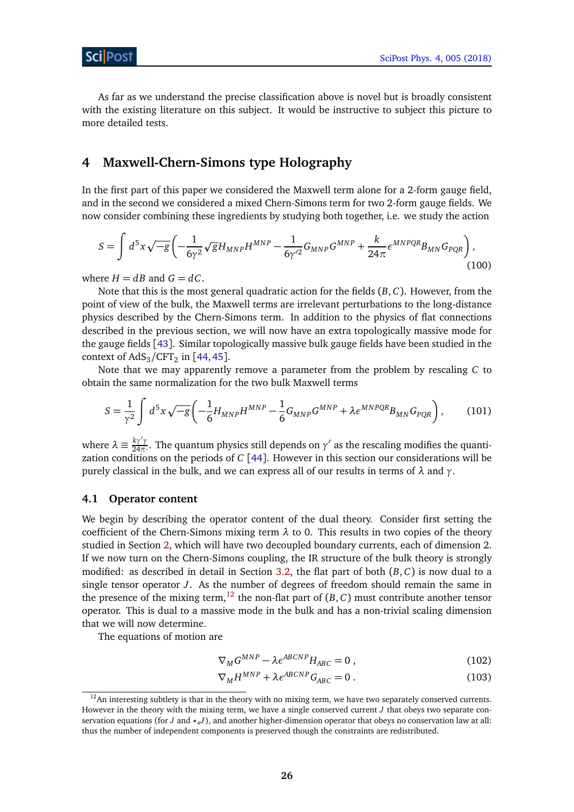As far as we understand the precise classification above is novel but is broadly consistent with the existing literature on this subject. It would be instructive to subject this picture to more detailed tests.

## <span id="page-25-0"></span>**4 Maxwell-Chern-Simons type Holography**

In the first part of this paper we considered the Maxwell term alone for a 2-form gauge field, and in the second we considered a mixed Chern-Simons term for two 2-form gauge fields. We now consider combining these ingredients by studying both together, i.e. we study the action

$$
S = \int d^5x \sqrt{-g} \left( -\frac{1}{6\gamma^2} \sqrt{g} H_{MNP} H^{MNP} - \frac{1}{6\gamma^{\prime 2}} G_{MNP} G^{MNP} + \frac{k}{24\pi} \epsilon^{MNPQR} B_{MN} G_{PQR} \right),\tag{100}
$$

where  $H = dB$  and  $G = dC$ .

Note that this is the most general quadratic action for the fields (*B*, *C*). However, from the point of view of the bulk, the Maxwell terms are irrelevant perturbations to the long-distance physics described by the Chern-Simons term. In addition to the physics of flat connections described in the previous section, we will now have an extra topologically massive mode for the gauge fields [[43](#page-35-2)]. Similar topologically massive bulk gauge fields have been studied in the context of  $AdS_3/CFT_2$  in [[44,](#page-35-3) [45](#page-35-4)].

Note that we may apparently remove a parameter from the problem by rescaling *C* to obtain the same normalization for the two bulk Maxwell terms

<span id="page-25-3"></span>
$$
S = \frac{1}{\gamma^2} \int d^5 x \sqrt{-g} \left( -\frac{1}{6} H_{MNP} H^{MNP} - \frac{1}{6} G_{MNP} G^{MNP} + \lambda \epsilon^{MNPQR} B_{MN} G_{PQR} \right), \tag{101}
$$

where  $\lambda \equiv \frac{k\gamma'\gamma}{24\pi}$ .  $\frac{k\gamma'\gamma}{24\pi}$ . The quantum physics still depends on  $\gamma'$  as the rescaling modifies the quantization conditions on the periods of  $C$  [[44](#page-35-3)]. However in this section our considerations will be purely classical in the bulk, and we can express all of our results in terms of *λ* and *γ*.

### <span id="page-25-1"></span>**4.1 Operator content**

We begin by describing the operator content of the dual theory. Consider first setting the coefficient of the Chern-Simons mixing term  $\lambda$  to 0. This results in two copies of the theory studied in Section [2,](#page-7-0) which will have two decoupled boundary currents, each of dimension 2. If we now turn on the Chern-Simons coupling, the IR structure of the bulk theory is strongly modified: as described in detail in Section [3.2,](#page-21-0) the flat part of both (*B*, *C*) is now dual to a single tensor operator *J*. As the number of degrees of freedom should remain the same in the presence of the mixing term,<sup>[12](#page-25-2)</sup> the non-flat part of  $(B, C)$  must contribute another tensor operator. This is dual to a massive mode in the bulk and has a non-trivial scaling dimension that we will now determine.

The equations of motion are

<span id="page-25-4"></span>
$$
\nabla_M G^{MNP} - \lambda \epsilon^{ABCNP} H_{ABC} = 0 \,, \tag{102}
$$

<span id="page-25-5"></span>
$$
\nabla_M H^{MNP} + \lambda \epsilon^{ABCNP} G_{ABC} = 0 \tag{103}
$$

<span id="page-25-2"></span> $12$ An interesting subtlety is that in the theory with no mixing term, we have two separately conserved currents. However in the theory with the mixing term, we have a single conserved current *J* that obeys two separate conservation equations (for *J* and  $\star_4$ *J*), and another higher-dimension operator that obeys no conservation law at all: thus the number of independent components is preserved though the constraints are redistributed.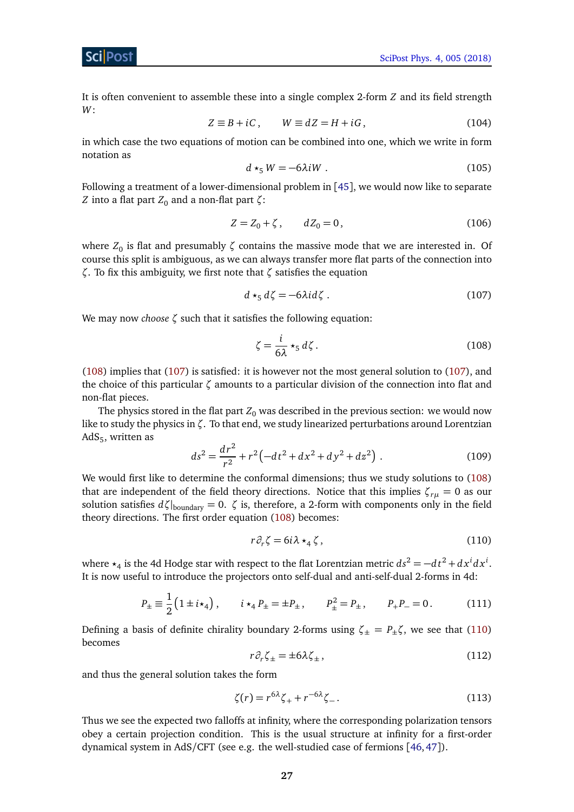It is often convenient to assemble these into a single complex 2-form *Z* and its field strength *W*:

$$
Z \equiv B + iC, \qquad W \equiv dZ = H + iG, \tag{104}
$$

in which case the two equations of motion can be combined into one, which we write in form notation as

$$
d \star_5 W = -6\lambda iW \ . \tag{105}
$$

Following a treatment of a lower-dimensional problem in [[45](#page-35-4)], we would now like to separate *Z* into a flat part  $Z_0$  and a non-flat part  $\zeta$ :

$$
Z = Z_0 + \zeta, \qquad dZ_0 = 0, \tag{106}
$$

where  $Z_0$  is flat and presumably  $\zeta$  contains the massive mode that we are interested in. Of course this split is ambiguous, as we can always transfer more flat parts of the connection into *ζ*. To fix this ambiguity, we first note that *ζ* satisfies the equation

<span id="page-26-1"></span>
$$
d \star_5 d\zeta = -6\lambda i d\zeta \ . \tag{107}
$$

We may now *choose ζ* such that it satisfies the following equation:

<span id="page-26-0"></span>
$$
\zeta = \frac{i}{6\lambda} \star_5 d\zeta. \tag{108}
$$

[\(108\)](#page-26-0) implies that [\(107\)](#page-26-1) is satisfied: it is however not the most general solution to [\(107\)](#page-26-1), and the choice of this particular *ζ* amounts to a particular division of the connection into flat and non-flat pieces.

The physics stored in the flat part  $Z_0$  was described in the previous section: we would now like to study the physics in *ζ*. To that end, we study linearized perturbations around Lorentzian AdS<sub>5</sub>, written as

$$
ds^{2} = \frac{dr^{2}}{r^{2}} + r^{2} \left( -dt^{2} + dx^{2} + dy^{2} + dz^{2} \right). \tag{109}
$$

We would first like to determine the conformal dimensions; thus we study solutions to [\(108\)](#page-26-0) that are independent of the field theory directions. Notice that this implies  $\zeta_{ru} = 0$  as our solution satisfies  $d\zeta$ <sub>boundary</sub> = 0.  $\zeta$  is, therefore, a 2-form with components only in the field theory directions. The first order equation [\(108\)](#page-26-0) becomes:

<span id="page-26-2"></span>
$$
r\partial_r \zeta = 6i\lambda \star_4 \zeta, \qquad (110)
$$

where  $\star_4$  is the 4d Hodge star with respect to the flat Lorentzian metric  $ds^2 = -dt^2 + dx^i dx^i$ . It is now useful to introduce the projectors onto self-dual and anti-self-dual 2-forms in 4d:

$$
P_{\pm} \equiv \frac{1}{2} (1 \pm i \star_4), \qquad i \star_4 P_{\pm} = \pm P_{\pm}, \qquad P_{\pm}^2 = P_{\pm}, \qquad P_{+} P_{-} = 0. \tag{111}
$$

Defining a basis of definite chirality boundary 2-forms using  $\zeta_{\pm} = P_{\pm} \zeta$ , we see that [\(110\)](#page-26-2) becomes

<span id="page-26-3"></span>
$$
r\partial_r \zeta_{\pm} = \pm 6\lambda \zeta_{\pm},\tag{112}
$$

and thus the general solution takes the form

$$
\zeta(r) = r^{6\lambda}\zeta_+ + r^{-6\lambda}\zeta_-\,. \tag{113}
$$

Thus we see the expected two falloffs at infinity, where the corresponding polarization tensors obey a certain projection condition. This is the usual structure at infinity for a first-order dynamical system in AdS/CFT (see e.g. the well-studied case of fermions [[46,](#page-35-5)[47](#page-35-6)]).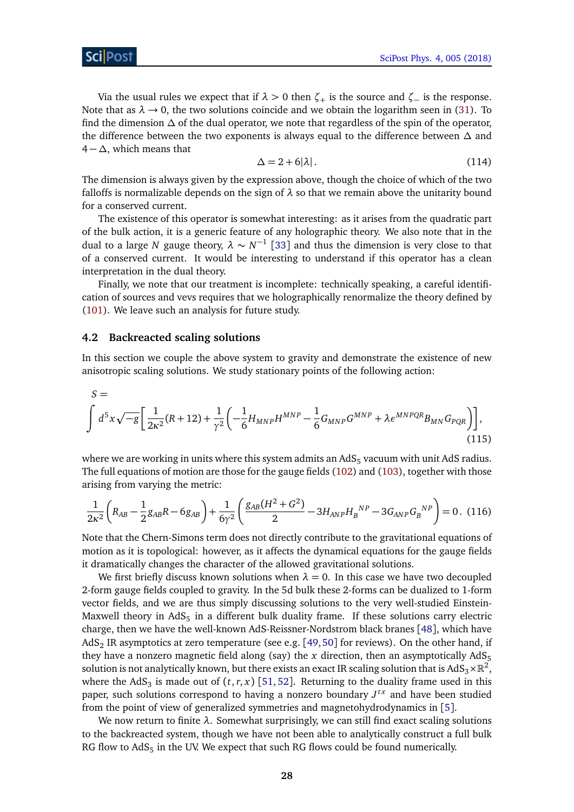Via the usual rules we expect that if  $\lambda > 0$  then  $\zeta_+$  is the source and  $\zeta_-$  is the response. Note that as  $\lambda \rightarrow 0$ , the two solutions coincide and we obtain the logarithm seen in [\(31\)](#page-8-2). To find the dimension *∆* of the dual operator, we note that regardless of the spin of the operator, the difference between the two exponents is always equal to the difference between *∆* and 4 − *∆*, which means that

<span id="page-27-1"></span>
$$
\Delta = 2 + 6|\lambda| \tag{114}
$$

The dimension is always given by the expression above, though the choice of which of the two falloffs is normalizable depends on the sign of  $\lambda$  so that we remain above the unitarity bound for a conserved current.

The existence of this operator is somewhat interesting: as it arises from the quadratic part of the bulk action, it is a generic feature of any holographic theory. We also note that in the dual to a large *N* gauge theory,  $\lambda \sim N^{-1}$  [[33](#page-34-10)] and thus the dimension is very close to that of a conserved current. It would be interesting to understand if this operator has a clean interpretation in the dual theory.

Finally, we note that our treatment is incomplete: technically speaking, a careful identification of sources and vevs requires that we holographically renormalize the theory defined by [\(101\)](#page-25-3). We leave such an analysis for future study.

### <span id="page-27-0"></span>**4.2 Backreacted scaling solutions**

In this section we couple the above system to gravity and demonstrate the existence of new anisotropic scaling solutions. We study stationary points of the following action:

$$
S = \int d^5x \sqrt{-g} \left[ \frac{1}{2\kappa^2} (R+12) + \frac{1}{\gamma^2} \left( -\frac{1}{6} H_{MNP} H^{MNP} - \frac{1}{6} G_{MNP} G^{MNP} + \lambda \epsilon^{MNPQR} B_{MN} G_{PQR} \right) \right],
$$
\n(115)

where we are working in units where this system admits an  $AdS<sub>5</sub>$  vacuum with unit AdS radius. The full equations of motion are those for the gauge fields [\(102\)](#page-25-4) and [\(103\)](#page-25-5), together with those arising from varying the metric:

$$
\frac{1}{2\kappa^2} \left( R_{AB} - \frac{1}{2} g_{AB} R - 6 g_{AB} \right) + \frac{1}{6\gamma^2} \left( \frac{g_{AB} (H^2 + G^2)}{2} - 3 H_{AND} H_B{}^{NP} - 3 G_{AND} G_B{}^{NP} \right) = 0. (116)
$$

Note that the Chern-Simons term does not directly contribute to the gravitational equations of motion as it is topological: however, as it affects the dynamical equations for the gauge fields it dramatically changes the character of the allowed gravitational solutions.

We first briefly discuss known solutions when  $\lambda = 0$ . In this case we have two decoupled 2-form gauge fields coupled to gravity. In the 5d bulk these 2-forms can be dualized to 1-form vector fields, and we are thus simply discussing solutions to the very well-studied Einstein-Maxwell theory in  $AdS_5$  in a different bulk duality frame. If these solutions carry electric charge, then we have the well-known AdS-Reissner-Nordstrom black branes [[48](#page-35-7)], which have AdS $_{\rm 2}$  IR asymptotics at zero temperature (see e.g. [[49,](#page-35-8)[50](#page-35-9)] for reviews). On the other hand, if they have a nonzero magnetic field along (say) the  $x$  direction, then an asymptotically  $AdS_5$ solution is not analytically known, but there exists an exact IR scaling solution that is  $\text{AdS}_3\times\mathbb{R}^2,$ where the AdS<sub>3</sub> is made out of  $(t,r,x)$  [[51,](#page-35-10) [52](#page-35-11)]. Returning to the duality frame used in this paper, such solutions correspond to having a nonzero boundary  $J^{tx}$  and have been studied from the point of view of generalized symmetries and magnetohydrodynamics in [[5](#page-32-4)].

We now return to finite *λ*. Somewhat surprisingly, we can still find exact scaling solutions to the backreacted system, though we have not been able to analytically construct a full bulk RG flow to  $AdS_5$  in the UV. We expect that such RG flows could be found numerically.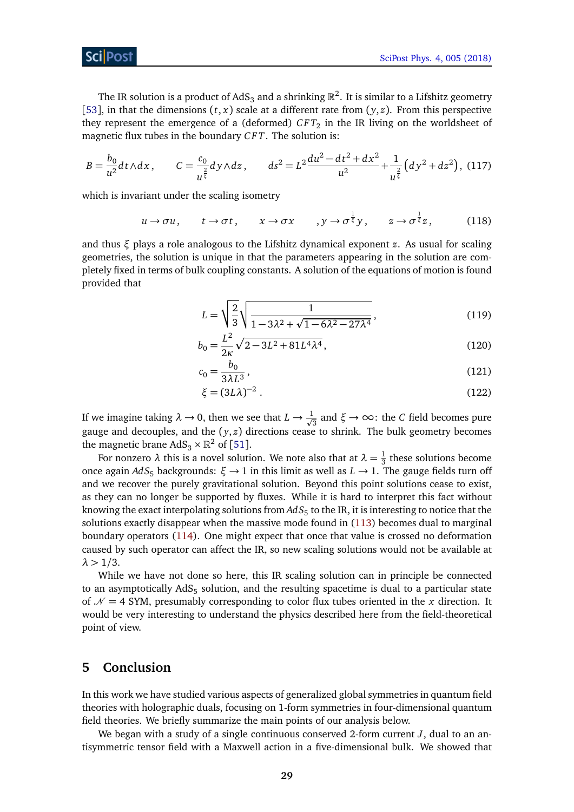The IR solution is a product of AdS $_3$  and a shrinking  $\mathbb{R}^2.$  It is similar to a Lifshitz geometry [[53](#page-35-12)], in that the dimensions  $(t, x)$  scale at a different rate from  $(y, z)$ . From this perspective they represent the emergence of a (deformed)  $CFT_2$  in the IR living on the worldsheet of magnetic flux tubes in the boundary *C F T*. The solution is:

$$
B = \frac{b_0}{u^2} dt \wedge dx, \qquad C = \frac{c_0}{u^{\frac{2}{\xi}}} dy \wedge dz, \qquad ds^2 = L^2 \frac{du^2 - dt^2 + dx^2}{u^2} + \frac{1}{u^{\frac{2}{\xi}}} \left( dy^2 + dz^2 \right), \tag{117}
$$

which is invariant under the scaling isometry

$$
u \to \sigma u, \qquad t \to \sigma t, \qquad x \to \sigma x \qquad , y \to \sigma^{\frac{1}{\xi}} y, \qquad z \to \sigma^{\frac{1}{\xi}} z, \tag{118}
$$

and thus *ξ* plays a role analogous to the Lifshitz dynamical exponent *z*. As usual for scaling geometries, the solution is unique in that the parameters appearing in the solution are completely fixed in terms of bulk coupling constants. A solution of the equations of motion is found provided that

$$
L = \sqrt{\frac{2}{3}} \sqrt{\frac{1}{1 - 3\lambda^2 + \sqrt{1 - 6\lambda^2 - 27\lambda^4}}},
$$
\n(119)

$$
b_0 = \frac{L^2}{2\kappa} \sqrt{2 - 3L^2 + 81L^4 \lambda^4},\tag{120}
$$

$$
c_0 = \frac{b_0}{3\lambda L^3},\tag{121}
$$

$$
\xi = (3L\lambda)^{-2} \tag{122}
$$

If we imagine taking  $\lambda \to 0$ , then we see that  $L \to \frac{1}{\sqrt{2}}$ 3 and *ξ* → ∞: the *C* field becomes pure gauge and decouples, and the  $(y, z)$  directions cease to shrink. The bulk geometry becomes the magnetic brane AdS<sub>3</sub>  $\times$   $\mathbb{R}^2$  of [[51](#page-35-10)].

For nonzero  $\lambda$  this is a novel solution. We note also that at  $\lambda = \frac{1}{3}$  $\frac{1}{3}$  these solutions become once again *AdS*<sup>5</sup> backgrounds: *ξ* → 1 in this limit as well as *L* → 1. The gauge fields turn off and we recover the purely gravitational solution. Beyond this point solutions cease to exist, as they can no longer be supported by fluxes. While it is hard to interpret this fact without knowing the exact interpolating solutions from  $AdS_5$  to the IR, it is interesting to notice that the solutions exactly disappear when the massive mode found in [\(113\)](#page-26-3) becomes dual to marginal boundary operators [\(114\)](#page-27-1). One might expect that once that value is crossed no deformation caused by such operator can affect the IR, so new scaling solutions would not be available at  $λ$  > 1/3.

While we have not done so here, this IR scaling solution can in principle be connected to an asymptotically  $\mathrm{AdS}_5$  solution, and the resulting spacetime is dual to a particular state of  $N = 4$  SYM, presumably corresponding to color flux tubes oriented in the x direction. It would be very interesting to understand the physics described here from the field-theoretical point of view.

## <span id="page-28-0"></span>**5 Conclusion**

In this work we have studied various aspects of generalized global symmetries in quantum field theories with holographic duals, focusing on 1-form symmetries in four-dimensional quantum field theories. We briefly summarize the main points of our analysis below.

We began with a study of a single continuous conserved 2-form current *J*, dual to an antisymmetric tensor field with a Maxwell action in a five-dimensional bulk. We showed that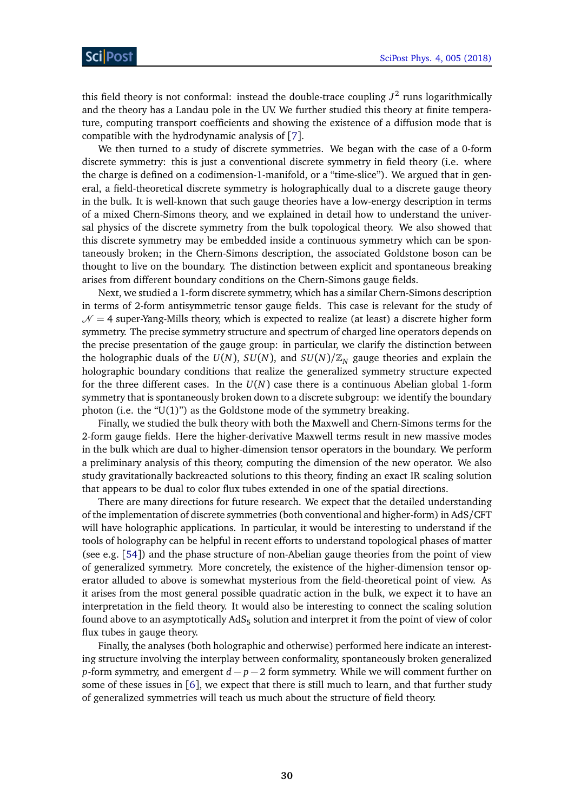this field theory is not conformal: instead the double-trace coupling  $J^2$  runs logarithmically and the theory has a Landau pole in the UV. We further studied this theory at finite temperature, computing transport coefficients and showing the existence of a diffusion mode that is compatible with the hydrodynamic analysis of [[7](#page-32-7)].

We then turned to a study of discrete symmetries. We began with the case of a 0-form discrete symmetry: this is just a conventional discrete symmetry in field theory (i.e. where the charge is defined on a codimension-1-manifold, or a "time-slice"). We argued that in general, a field-theoretical discrete symmetry is holographically dual to a discrete gauge theory in the bulk. It is well-known that such gauge theories have a low-energy description in terms of a mixed Chern-Simons theory, and we explained in detail how to understand the universal physics of the discrete symmetry from the bulk topological theory. We also showed that this discrete symmetry may be embedded inside a continuous symmetry which can be spontaneously broken; in the Chern-Simons description, the associated Goldstone boson can be thought to live on the boundary. The distinction between explicit and spontaneous breaking arises from different boundary conditions on the Chern-Simons gauge fields.

Next, we studied a 1-form discrete symmetry, which has a similar Chern-Simons description in terms of 2-form antisymmetric tensor gauge fields. This case is relevant for the study of  $N = 4$  super-Yang-Mills theory, which is expected to realize (at least) a discrete higher form symmetry. The precise symmetry structure and spectrum of charged line operators depends on the precise presentation of the gauge group: in particular, we clarify the distinction between the holographic duals of the  $U(N)$ ,  $SU(N)$ , and  $SU(N)/\mathbb{Z}_N$  gauge theories and explain the holographic boundary conditions that realize the generalized symmetry structure expected for the three different cases. In the *U*(*N*) case there is a continuous Abelian global 1-form symmetry that is spontaneously broken down to a discrete subgroup: we identify the boundary photon (i.e. the " $U(1)$ ") as the Goldstone mode of the symmetry breaking.

Finally, we studied the bulk theory with both the Maxwell and Chern-Simons terms for the 2-form gauge fields. Here the higher-derivative Maxwell terms result in new massive modes in the bulk which are dual to higher-dimension tensor operators in the boundary. We perform a preliminary analysis of this theory, computing the dimension of the new operator. We also study gravitationally backreacted solutions to this theory, finding an exact IR scaling solution that appears to be dual to color flux tubes extended in one of the spatial directions.

There are many directions for future research. We expect that the detailed understanding of the implementation of discrete symmetries (both conventional and higher-form) in AdS/CFT will have holographic applications. In particular, it would be interesting to understand if the tools of holography can be helpful in recent efforts to understand topological phases of matter (see e.g. [[54](#page-35-13)]) and the phase structure of non-Abelian gauge theories from the point of view of generalized symmetry. More concretely, the existence of the higher-dimension tensor operator alluded to above is somewhat mysterious from the field-theoretical point of view. As it arises from the most general possible quadratic action in the bulk, we expect it to have an interpretation in the field theory. It would also be interesting to connect the scaling solution found above to an asymptotically  $\mathrm{AdS}_5$  solution and interpret it from the point of view of color flux tubes in gauge theory.

Finally, the analyses (both holographic and otherwise) performed here indicate an interesting structure involving the interplay between conformality, spontaneously broken generalized *p*-form symmetry, and emergent *d* − *p* − 2 form symmetry. While we will comment further on some of these issues in  $\lceil 6 \rceil$  $\lceil 6 \rceil$  $\lceil 6 \rceil$ , we expect that there is still much to learn, and that further study of generalized symmetries will teach us much about the structure of field theory.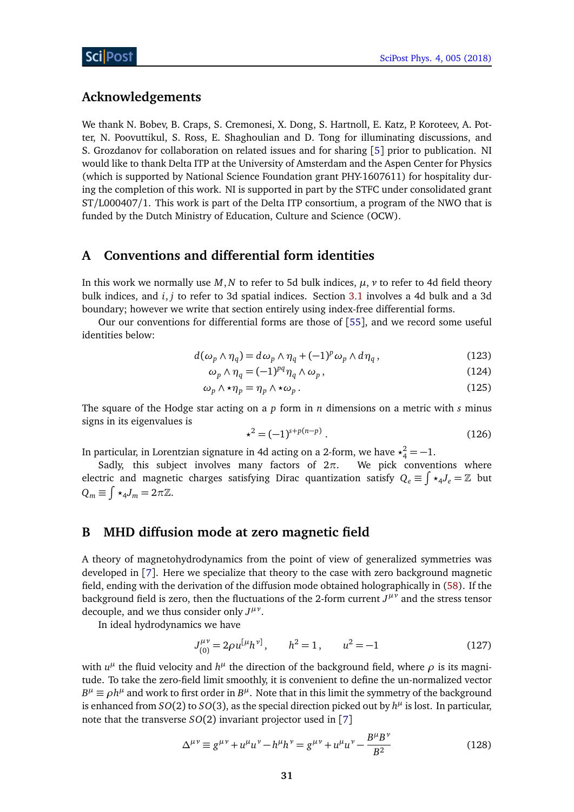## **Acknowledgements**

We thank N. Bobev, B. Craps, S. Cremonesi, X. Dong, S. Hartnoll, E. Katz, P. Koroteev, A. Potter, N. Poovuttikul, S. Ross, E. Shaghoulian and D. Tong for illuminating discussions, and S. Grozdanov for collaboration on related issues and for sharing [[5](#page-32-4)] prior to publication. NI would like to thank Delta ITP at the University of Amsterdam and the Aspen Center for Physics (which is supported by National Science Foundation grant PHY-1607611) for hospitality during the completion of this work. NI is supported in part by the STFC under consolidated grant ST/L000407/1. This work is part of the Delta ITP consortium, a program of the NWO that is funded by the Dutch Ministry of Education, Culture and Science (OCW).

## <span id="page-30-0"></span>**A Conventions and differential form identities**

In this work we normally use  $M$ ,  $N$  to refer to 5d bulk indices,  $\mu$ ,  $\nu$  to refer to 4d field theory bulk indices, and *i*, *j* to refer to 3d spatial indices. Section [3.1](#page-15-0) involves a 4d bulk and a 3d boundary; however we write that section entirely using index-free differential forms.

Our our conventions for differential forms are those of [[55](#page-36-0)], and we record some useful identities below:

$$
d(\omega_p \wedge \eta_q) = d\omega_p \wedge \eta_q + (-1)^p \omega_p \wedge d\eta_q, \qquad (123)
$$

$$
\omega_p \wedge \eta_q = (-1)^{pq} \eta_q \wedge \omega_p, \qquad (124)
$$

$$
\omega_p \wedge \star \eta_p = \eta_p \wedge \star \omega_p. \tag{125}
$$

The square of the Hodge star acting on a *p* form in *n* dimensions on a metric with *s* minus signs in its eigenvalues is

$$
\star^2 = (-1)^{s+p(n-p)}.
$$
\n(126)

In particular, in Lorentzian signature in 4d acting on a 2-form, we have  $\star_4^2 = -1$ .

Sadly, this subject involves many factors of  $2\pi$ . We pick conventions where electric and magnetic charges satisfying Dirac quantization satisfy  $Q_e \equiv \int \star_4 J_e = \mathbb{Z}$  but  $Q_m \equiv \int \star_4 J_m = 2\pi \mathbb{Z}.$ 

## <span id="page-30-1"></span>**B MHD diffusion mode at zero magnetic field**

A theory of magnetohydrodynamics from the point of view of generalized symmetries was developed in [[7](#page-32-7)]. Here we specialize that theory to the case with zero background magnetic field, ending with the derivation of the diffusion mode obtained holographically in [\(58\)](#page-12-0). If the background field is zero, then the fluctuations of the 2-form current  $J^{\mu\nu}$  and the stress tensor decouple, and we thus consider only  $J^{\mu\nu}$ .

In ideal hydrodynamics we have

<span id="page-30-3"></span>
$$
J_{(0)}^{\mu\nu} = 2\rho u^{[\mu}h^{\nu]}, \qquad h^2 = 1, \qquad u^2 = -1 \tag{127}
$$

with  $u^{\mu}$  the fluid velocity and  $h^{\mu}$  the direction of the background field, where  $\rho$  is its magnitude. To take the zero-field limit smoothly, it is convenient to define the un-normalized vector  $B^{\mu} \equiv \rho h^{\mu}$  and work to first order in  $B^{\mu}$ . Note that in this limit the symmetry of the background is enhanced from  $SO(2)$  to  $SO(3)$ , as the special direction picked out by  $h^\mu$  is lost. In particular, note that the transverse *SO*(2) invariant projector used in [[7](#page-32-7)]

<span id="page-30-2"></span>
$$
\Delta^{\mu\nu} \equiv g^{\mu\nu} + u^{\mu}u^{\nu} - h^{\mu}h^{\nu} = g^{\mu\nu} + u^{\mu}u^{\nu} - \frac{B^{\mu}B^{\nu}}{B^2}
$$
 (128)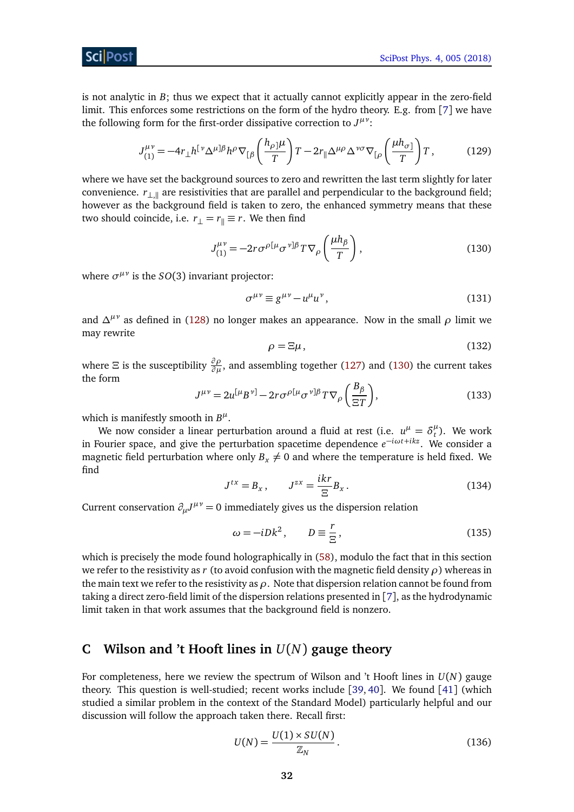

is not analytic in *B*; thus we expect that it actually cannot explicitly appear in the zero-field limit. This enforces some restrictions on the form of the hydro theory. E.g. from [[7](#page-32-7)] we have the following form for the first-order dissipative correction to *J µν*:

$$
J_{(1)}^{\mu\nu} = -4r_{\perp}h^{[\nu}\Delta^{\mu]\beta}h^{\rho}\nabla_{[\beta}\left(\frac{h_{\rho\,]\mu}}{T}\right)T - 2r_{\parallel}\Delta^{\mu\rho}\Delta^{\nu\sigma}\nabla_{[\rho}\left(\frac{\mu h_{\sigma\,}}{T}\right)T\,,\tag{129}
$$

where we have set the background sources to zero and rewritten the last term slightly for later convenience.  $r_{\perp\parallel}$  are resistivities that are parallel and perpendicular to the background field; however as the background field is taken to zero, the enhanced symmetry means that these two should coincide, i.e.  $r_{\perp} = r_{\parallel} \equiv r$ . We then find

<span id="page-31-1"></span>
$$
J_{(1)}^{\mu\nu} = -2r\sigma^{\rho[\mu}\sigma^{\nu]\beta}T\nabla_{\rho}\left(\frac{\mu h_{\beta}}{T}\right),\tag{130}
$$

where  $\sigma^{\mu\nu}$  is the  $SO(3)$  invariant projector:

$$
\sigma^{\mu\nu} \equiv g^{\mu\nu} - u^{\mu} u^{\nu},\tag{131}
$$

and  $\Delta^{\mu\nu}$  as defined in [\(128\)](#page-30-2) no longer makes an appearance. Now in the small  $\rho$  limit we may rewrite

$$
\rho = \Xi \mu, \tag{132}
$$

where *Ξ* is the susceptibility  $\frac{\partial \rho}{\partial \mu}$ , and assembling together [\(127\)](#page-30-3) and [\(130\)](#page-31-1) the current takes the form

$$
J^{\mu\nu} = 2u^{[\mu}B^{\nu]} - 2r\sigma^{\rho[\mu}\sigma^{\nu]\beta}T\nabla_{\rho}\left(\frac{B_{\beta}}{\Xi T}\right),\tag{133}
$$

which is manifestly smooth in  $B^{\mu}$ .

We now consider a linear perturbation around a fluid at rest (i.e.  $u^{\mu} = \delta^{\mu}_t$  $t$ <sup> $\mu$ </sup>). We work in Fourier space, and give the perturbation spacetime dependence *e* <sup>−</sup>*iωt*+*ikz* . We consider a magnetic field perturbation where only  $B_x \neq 0$  and where the temperature is held fixed. We find

$$
J^{tx} = B_x, \qquad J^{zx} = \frac{ikr}{\Xi} B_x. \tag{134}
$$

Current conservation  $\partial_{\mu}J^{\mu\nu} = 0$  immediately gives us the dispersion relation

$$
\omega = -iDk^2, \qquad D \equiv \frac{r}{\Xi}, \qquad (135)
$$

which is precisely the mode found holographically in [\(58\)](#page-12-0), modulo the fact that in this section we refer to the resistivity as *r* (to avoid confusion with the magnetic field density *ρ*) whereas in the main text we refer to the resistivity as  $\rho$ . Note that dispersion relation cannot be found from taking a direct zero-field limit of the dispersion relations presented in [[7](#page-32-7)], as the hydrodynamic limit taken in that work assumes that the background field is nonzero.

## <span id="page-31-0"></span>**C Wilson and 't Hooft lines in** *U*(*N*) **gauge theory**

For completeness, here we review the spectrum of Wilson and 't Hooft lines in *U*(*N*) gauge theory. This question is well-studied; recent works include [[39,](#page-34-13) [40](#page-34-14)]. We found [[41](#page-35-0)] (which studied a similar problem in the context of the Standard Model) particularly helpful and our discussion will follow the approach taken there. Recall first:

$$
U(N) = \frac{U(1) \times SU(N)}{\mathbb{Z}_N}.
$$
\n(136)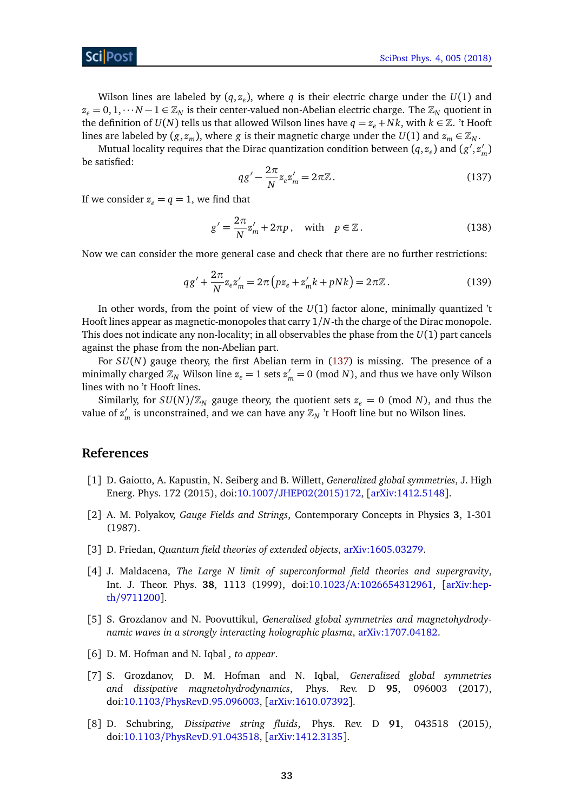Wilson lines are labeled by  $(q, z_e)$ , where  $q$  is their electric charge under the  $U(1)$  and  $z_e = 0, 1, \dots N - 1 \in \mathbb{Z}_N$  is their center-valued non-Abelian electric charge. The  $\mathbb{Z}_N$  quotient in the definition of  $U(N)$  tells us that allowed Wilson lines have  $q = z_e + Nk$ , with  $k \in \mathbb{Z}$ . 't Hooft lines are labeled by  $(g, z_m)$ , where *g* is their magnetic charge under the *U*(1) and  $z_m \in \mathbb{Z}_N$ .

<span id="page-32-9"></span>Mutual locality requires that the Dirac quantization condition between  $(q, z_e)$  and  $(g', z'_i)$ *m* ) be satisfied:

<span id="page-32-0"></span>
$$
qg' - \frac{2\pi}{N} z_e z'_m = 2\pi \mathbb{Z} \,. \tag{137}
$$

If we consider  $z_e = q = 1$ , we find that

$$
g' = \frac{2\pi}{N}z'_m + 2\pi p, \quad \text{with} \quad p \in \mathbb{Z} \,. \tag{138}
$$

Now we can consider the more general case and check that there are no further restrictions:

$$
qg' + \frac{2\pi}{N} z_e z'_m = 2\pi \left( p z_e + z'_m k + p N k \right) = 2\pi \mathbb{Z} \,. \tag{139}
$$

In other words, from the point of view of the *U*(1) factor alone, minimally quantized 't Hooft lines appear as magnetic-monopoles that carry 1*/N*-th the charge of the Dirac monopole. This does not indicate any non-locality; in all observables the phase from the *U*(1) part cancels against the phase from the non-Abelian part.

For *SU*(*N*) gauge theory, the first Abelian term in [\(137\)](#page-32-9) is missing. The presence of a minimally charged  $\mathbb{Z}_N$  Wilson line  $z_e = 1$  sets  $z'_m = 0 \pmod{N}$ , and thus we have only Wilson lines with no 't Hooft lines.

Similarly, for  $SU(N)/\mathbb{Z}_N$  gauge theory, the quotient sets  $z_e = 0$  (mod *N*), and thus the value of  $z'_r$  $_m'$  is unconstrained, and we can have any  $\mathbb{Z}_N$  't Hooft line but no Wilson lines.

## **References**

- <span id="page-32-1"></span>[1] D. Gaiotto, A. Kapustin, N. Seiberg and B. Willett, *Generalized global symmetries*, J. High Energ. Phys. 172 (2015), doi:10.1007/[JHEP02\(2015\)172,](http://dx.doi.org/10.1007/JHEP02(2015)172) [[arXiv:1412.5148](https://arxiv.org/abs/1412.5148)].
- <span id="page-32-2"></span>[2] A. M. Polyakov, *Gauge Fields and Strings*, Contemporary Concepts in Physics **3**, 1-301 (1987).
- <span id="page-32-6"></span>[3] D. Friedan, *Quantum field theories of extended objects*, [arXiv:1605.03279.](https://arxiv.org/abs/1605.03279)
- <span id="page-32-3"></span>[4] J. Maldacena, *The Large N limit of superconformal field theories and supergravity*, Int. J. Theor. Phys. **38**, 1113 (1999), doi:10.1023/[A:1026654312961,](http://dx.doi.org/10.1023/A:1026654312961) [[arXiv:hep](https://arxiv.org/abs/hep-th/9711200)th/[9711200](https://arxiv.org/abs/hep-th/9711200)].
- <span id="page-32-4"></span>[5] S. Grozdanov and N. Poovuttikul, *Generalised global symmetries and magnetohydrodynamic waves in a strongly interacting holographic plasma*, [arXiv:1707.04182.](https://arxiv.org/abs/1707.04182)
- <span id="page-32-5"></span>[6] D. M. Hofman and N. Iqbal *, to appear*.
- <span id="page-32-7"></span>[7] S. Grozdanov, D. M. Hofman and N. Iqbal, *Generalized global symmetries and dissipative magnetohydrodynamics*, Phys. Rev. D **95**, 096003 (2017), doi:10.1103/[PhysRevD.95.096003,](http://dx.doi.org/10.1103/PhysRevD.95.096003) [[arXiv:1610.07392](https://arxiv.org/abs/1610.07392)].
- <span id="page-32-8"></span>[8] D. Schubring, *Dissipative string fluids*, Phys. Rev. D **91**, 043518 (2015), doi:10.1103/[PhysRevD.91.043518,](http://dx.doi.org/10.1103/PhysRevD.91.043518) [[arXiv:1412.3135](https://arxiv.org/abs/1412.3135)].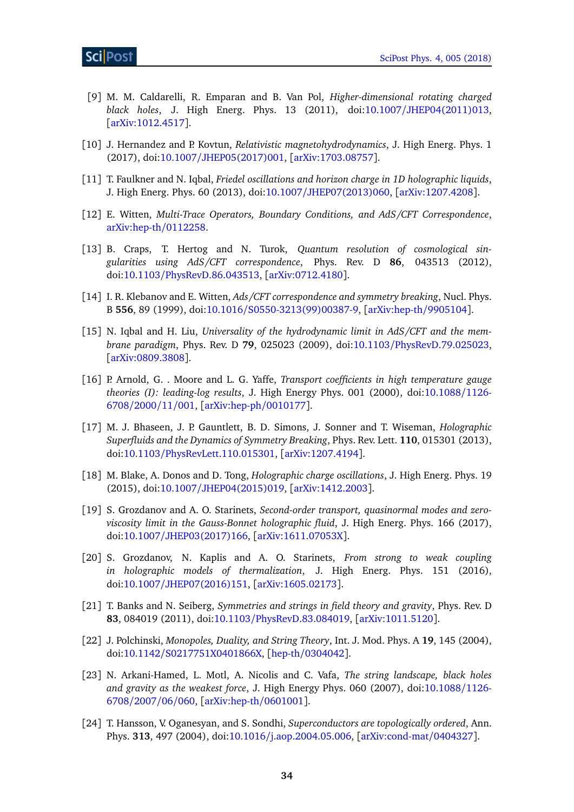- <span id="page-33-0"></span>[9] M. M. Caldarelli, R. Emparan and B. Van Pol, *Higher-dimensional rotating charged black holes*, J. High Energ. Phys. 13 (2011), doi:10.1007/[JHEP04\(2011\)013,](http://dx.doi.org/10.1007/JHEP04(2011)013) [[arXiv:1012.4517](https://arxiv.org/abs/1012.4517)].
- <span id="page-33-1"></span>[10] J. Hernandez and P. Kovtun, *Relativistic magnetohydrodynamics*, J. High Energ. Phys. 1 (2017), doi:10.1007/[JHEP05\(2017\)001,](http://dx.doi.org/10.1007/JHEP05(2017)001) [[arXiv:1703.08757](https://arxiv.org/abs/1703.08757)].
- <span id="page-33-2"></span>[11] T. Faulkner and N. Iqbal, *Friedel oscillations and horizon charge in 1D holographic liquids*, J. High Energ. Phys. 60 (2013), doi:10.1007/[JHEP07\(2013\)060,](http://dx.doi.org/10.1007/JHEP07(2013)060) [[arXiv:1207.4208](https://arxiv.org/abs/1207.4208)].
- <span id="page-33-3"></span>[12] E. Witten, *Multi-Trace Operators, Boundary Conditions, and AdS/CFT Correspondence*, [arXiv:hep-th](https://arxiv.org/abs/hep-th/0112258)/0112258.
- <span id="page-33-4"></span>[13] B. Craps, T. Hertog and N. Turok, *Quantum resolution of cosmological singularities using AdS/CFT correspondence*, Phys. Rev. D **86**, 043513 (2012), doi:10.1103/[PhysRevD.86.043513,](http://dx.doi.org/10.1103/PhysRevD.86.043513) [[arXiv:0712.4180](https://arxiv.org/abs/0712.4180)].
- <span id="page-33-5"></span>[14] I. R. Klebanov and E. Witten, *Ads/CFT correspondence and symmetry breaking*, Nucl. Phys. B **556**, 89 (1999), doi:10.1016/[S0550-3213\(99\)00387-9,](http://dx.doi.org/10.1016/S0550-3213(99)00387-9) [[arXiv:hep-th](https://arxiv.org/abs/hep-th/9905104)/9905104].
- <span id="page-33-6"></span>[15] N. Iqbal and H. Liu, *Universality of the hydrodynamic limit in AdS/CFT and the membrane paradigm*, Phys. Rev. D **79**, 025023 (2009), doi:10.1103/[PhysRevD.79.025023,](http://dx.doi.org/10.1103/PhysRevD.79.025023) [[arXiv:0809.3808](https://arxiv.org/abs/0809.3808)].
- <span id="page-33-7"></span>[16] P. Arnold, G. . Moore and L. G. Yaffe, *Transport coefficients in high temperature gauge theories (I): leading-log results*, J. High Energy Phys. 001 (2000), doi[:10.1088](http://dx.doi.org/10.1088/1126-6708/2000/11/001)/1126- [6708](http://dx.doi.org/10.1088/1126-6708/2000/11/001)/2000/11/001, [[arXiv:hep-ph](https://arxiv.org/abs/hep-ph/0010177)/0010177].
- <span id="page-33-8"></span>[17] M. J. Bhaseen, J. P. Gauntlett, B. D. Simons, J. Sonner and T. Wiseman, *Holographic Superfluids and the Dynamics of Symmetry Breaking*, Phys. Rev. Lett. **110**, 015301 (2013), doi:10.1103/[PhysRevLett.110.015301,](http://dx.doi.org/10.1103/PhysRevLett.110.015301) [[arXiv:1207.4194](https://arxiv.org/abs/1207.4194)].
- [18] M. Blake, A. Donos and D. Tong, *Holographic charge oscillations*, J. High Energ. Phys. 19 (2015), doi:10.1007/[JHEP04\(2015\)019,](http://dx.doi.org/10.1007/JHEP04(2015)019) [[arXiv:1412.2003](https://arxiv.org/abs/1412.2003)].
- [19] S. Grozdanov and A. O. Starinets, *Second-order transport, quasinormal modes and zeroviscosity limit in the Gauss-Bonnet holographic fluid*, J. High Energ. Phys. 166 (2017), doi:10.1007/[JHEP03\(2017\)166,](http://dx.doi.org/10.1007/JHEP03(2017)166) [[arXiv:1611.07053X](https://arxiv.org/abs/1611.07053)].
- <span id="page-33-9"></span>[20] S. Grozdanov, N. Kaplis and A. O. Starinets, *From strong to weak coupling in holographic models of thermalization*, J. High Energ. Phys. 151 (2016), doi:10.1007/[JHEP07\(2016\)151,](http://dx.doi.org/10.1007/JHEP07(2016)151) [[arXiv:1605.02173](https://arxiv.org/abs/1605.02173)].
- <span id="page-33-10"></span>[21] T. Banks and N. Seiberg, *Symmetries and strings in field theory and gravity*, Phys. Rev. D **83**, 084019 (2011), doi:10.1103/[PhysRevD.83.084019,](http://dx.doi.org/10.1103/PhysRevD.83.084019) [[arXiv:1011.5120](https://arxiv.org/abs/1011.5120)].
- [22] J. Polchinski, *Monopoles, Duality, and String Theory*, Int. J. Mod. Phys. A **19**, 145 (2004), doi:10.1142/[S0217751X0401866X,](http://dx.doi.org/10.1142/S0217751X0401866X) [hep-th/[0304042](https://arxiv.org/abs/hep-th/0304042)].
- <span id="page-33-11"></span>[23] N. Arkani-Hamed, L. Motl, A. Nicolis and C. Vafa, *The string landscape, black holes and gravity as the weakest force*, J. High Energy Phys. 060 (2007), doi[:10.1088](http://dx.doi.org/10.1088/1126-6708/2007/06/060)/1126- [6708](http://dx.doi.org/10.1088/1126-6708/2007/06/060)/2007/06/060, [[arXiv:hep-th](https://arxiv.org/abs/hep-th/0601001)/0601001].
- <span id="page-33-12"></span>[24] T. Hansson, V. Oganesyan, and S. Sondhi, *Superconductors are topologically ordered*, Ann. Phys. **313**, 497 (2004), doi:10.1016/[j.aop.2004.05.006,](http://dx.doi.org/10.1016/j.aop.2004.05.006) [[arXiv:cond-mat](https://arxiv.org/abs/cond-mat/0404327)/0404327].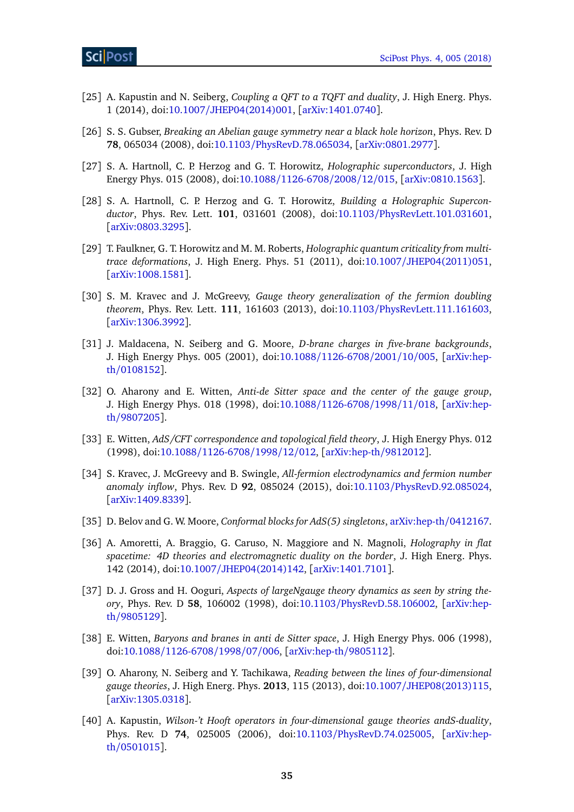- <span id="page-34-0"></span>[25] A. Kapustin and N. Seiberg, *Coupling a QFT to a TQFT and duality*, J. High Energ. Phys. 1 (2014), doi:10.1007/[JHEP04\(2014\)001,](http://dx.doi.org/10.1007/JHEP04(2014)001) [[arXiv:1401.0740](https://arxiv.org/abs/1401.0740)].
- <span id="page-34-1"></span>[26] S. S. Gubser, *Breaking an Abelian gauge symmetry near a black hole horizon*, Phys. Rev. D **78**, 065034 (2008), doi:10.1103/[PhysRevD.78.065034,](http://dx.doi.org/10.1103/PhysRevD.78.065034) [[arXiv:0801.2977](https://arxiv.org/abs/0801.2977)].
- [27] S. A. Hartnoll, C. P. Herzog and G. T. Horowitz, *Holographic superconductors*, J. High Energy Phys. 015 (2008), doi:10.1088/[1126-6708](http://dx.doi.org/10.1088/1126-6708/2008/12/015)/2008/12/015, [[arXiv:0810.1563](https://arxiv.org/abs/0810.1563)].
- <span id="page-34-2"></span>[28] S. A. Hartnoll, C. P. Herzog and G. T. Horowitz, *Building a Holographic Superconductor*, Phys. Rev. Lett. **101**, 031601 (2008), doi:10.1103/[PhysRevLett.101.031601,](http://dx.doi.org/10.1103/PhysRevLett.101.031601) [[arXiv:0803.3295](https://arxiv.org/abs/0803.3295)].
- <span id="page-34-3"></span>[29] T. Faulkner, G. T. Horowitz and M. M. Roberts, *Holographic quantum criticality from multitrace deformations*, J. High Energ. Phys. 51 (2011), doi:10.1007/[JHEP04\(2011\)051,](http://dx.doi.org/10.1007/JHEP04(2011)051) [[arXiv:1008.1581](https://arxiv.org/abs/1008.1581)].
- <span id="page-34-4"></span>[30] S. M. Kravec and J. McGreevy, *Gauge theory generalization of the fermion doubling theorem*, Phys. Rev. Lett. **111**, 161603 (2013), doi:10.1103/[PhysRevLett.111.161603,](http://dx.doi.org/10.1103/PhysRevLett.111.161603) [[arXiv:1306.3992](https://arxiv.org/abs/1306.3992)].
- <span id="page-34-5"></span>[31] J. Maldacena, N. Seiberg and G. Moore, *D-brane charges in five-brane backgrounds*, J. High Energy Phys. 005 (2001), doi:10.1088/[1126-6708](http://dx.doi.org/10.1088/1126-6708/2001/10/005)/2001/10/005, [[arXiv:hep](https://arxiv.org/abs/hep-th/0108152)th/[0108152](https://arxiv.org/abs/hep-th/0108152)].
- <span id="page-34-6"></span>[32] O. Aharony and E. Witten, *Anti-de Sitter space and the center of the gauge group*, J. High Energy Phys. 018 (1998), doi:10.1088/[1126-6708](http://dx.doi.org/10.1088/1126-6708/1998/11/018)/1998/11/018, [[arXiv:hep](https://arxiv.org/abs/hep-th/9807205)th/[9807205](https://arxiv.org/abs/hep-th/9807205)].
- <span id="page-34-10"></span>[33] E. Witten, *AdS/CFT correspondence and topological field theory*, J. High Energy Phys. 012 (1998), doi:10.1088/[1126-6708](http://dx.doi.org/10.1088/1126-6708/1998/12/012)/1998/12/012, [[arXiv:hep-th](https://arxiv.org/abs/hep-th/9812012)/9812012].
- <span id="page-34-7"></span>[34] S. Kravec, J. McGreevy and B. Swingle, *All-fermion electrodynamics and fermion number anomaly inflow*, Phys. Rev. D **92**, 085024 (2015), doi:10.1103/[PhysRevD.92.085024,](http://dx.doi.org/10.1103/PhysRevD.92.085024) [[arXiv:1409.8339](https://arxiv.org/abs/1409.8339)].
- <span id="page-34-8"></span>[35] D. Belov and G. W. Moore, *Conformal blocks for AdS(5) singletons*, [arXiv:hep-th](https://arxiv.org/abs/hep-th/0412167)/0412167.
- <span id="page-34-9"></span>[36] A. Amoretti, A. Braggio, G. Caruso, N. Maggiore and N. Magnoli, *Holography in flat spacetime: 4D theories and electromagnetic duality on the border*, J. High Energ. Phys. 142 (2014), doi:10.1007/[JHEP04\(2014\)142,](http://dx.doi.org/10.1007/JHEP04(2014)142) [[arXiv:1401.7101](https://arxiv.org/abs/1401.7101)].
- <span id="page-34-11"></span>[37] D. J. Gross and H. Ooguri, *Aspects of largeNgauge theory dynamics as seen by string theory*, Phys. Rev. D **58**, 106002 (1998), doi:10.1103/[PhysRevD.58.106002,](http://dx.doi.org/10.1103/PhysRevD.58.106002) [[arXiv:hep](https://arxiv.org/abs/hep-th/9805129)th/[9805129](https://arxiv.org/abs/hep-th/9805129)].
- <span id="page-34-12"></span>[38] E. Witten, *Baryons and branes in anti de Sitter space*, J. High Energy Phys. 006 (1998), doi:10.1088/[1126-6708](http://dx.doi.org/10.1088/1126-6708/1998/07/006)/1998/07/006, [[arXiv:hep-th](https://arxiv.org/abs/hep-th/9805112)/9805112].
- <span id="page-34-13"></span>[39] O. Aharony, N. Seiberg and Y. Tachikawa, *Reading between the lines of four-dimensional gauge theories*, J. High Energ. Phys. **2013**, 115 (2013), doi:10.1007/[JHEP08\(2013\)115,](http://dx.doi.org/10.1007/JHEP08(2013)115) [[arXiv:1305.0318](https://arxiv.org/abs/1305.0318)].
- <span id="page-34-14"></span>[40] A. Kapustin, *Wilson-'t Hooft operators in four-dimensional gauge theories andS-duality*, Phys. Rev. D **74**, 025005 (2006), doi:10.1103/[PhysRevD.74.025005,](http://dx.doi.org/10.1103/PhysRevD.74.025005) [[arXiv:hep](https://arxiv.org/abs/hep-th/0501015)th/[0501015](https://arxiv.org/abs/hep-th/0501015)].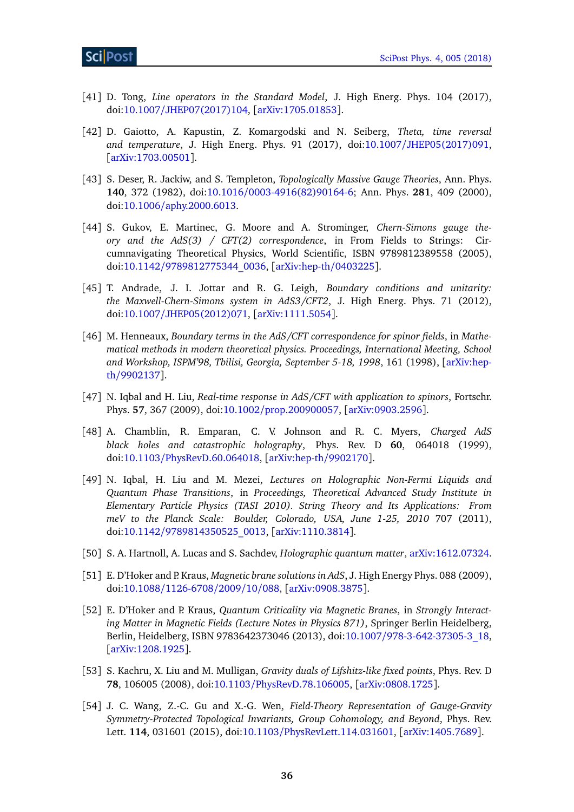- <span id="page-35-0"></span>[41] D. Tong, *Line operators in the Standard Model*, J. High Energ. Phys. 104 (2017), doi:10.1007/[JHEP07\(2017\)104,](http://dx.doi.org/10.1007/JHEP07(2017)104) [[arXiv:1705.01853](https://arxiv.org/abs/1705.01853)].
- <span id="page-35-1"></span>[42] D. Gaiotto, A. Kapustin, Z. Komargodski and N. Seiberg, *Theta, time reversal and temperature*, J. High Energ. Phys. 91 (2017), doi:10.1007/[JHEP05\(2017\)091,](http://dx.doi.org/10.1007/JHEP05(2017)091) [[arXiv:1703.00501](https://arxiv.org/abs/1703.00501)].
- <span id="page-35-2"></span>[43] S. Deser, R. Jackiw, and S. Templeton, *Topologically Massive Gauge Theories*, Ann. Phys. **140**, 372 (1982), doi:10.1016/[0003-4916\(82\)90164-6;](http://dx.doi.org/10.1016/0003-4916(82)90164-6) Ann. Phys. **281**, 409 (2000), doi:10.1006/[aphy.2000.6013.](http://dx.doi.org/10.1006/aphy.2000.6013)
- <span id="page-35-3"></span>[44] S. Gukov, E. Martinec, G. Moore and A. Strominger, *Chern-Simons gauge theory and the*  $AdS(3)$  */ CFT(2) correspondence*, in From Fields to Strings: cumnavigating Theoretical Physics, World Scientific, ISBN 9789812389558 (2005), doi:10.1142/[9789812775344\\_0036,](http://dx.doi.org/10.1142/9789812775344_0036) [[arXiv:hep-th](https://arxiv.org/abs/hep-th/0403225)/0403225].
- <span id="page-35-4"></span>[45] T. Andrade, J. I. Jottar and R. G. Leigh, *Boundary conditions and unitarity: the Maxwell-Chern-Simons system in AdS3/CFT2*, J. High Energ. Phys. 71 (2012), doi:10.1007/[JHEP05\(2012\)071,](http://dx.doi.org/10.1007/JHEP05(2012)071) [[arXiv:1111.5054](https://arxiv.org/abs/1111.5054)].
- <span id="page-35-5"></span>[46] M. Henneaux, *Boundary terms in the AdS/CFT correspondence for spinor fields*, in *Mathematical methods in modern theoretical physics. Proceedings, International Meeting, School and Workshop, ISPM'98, Tbilisi, Georgia, September 5-18, 1998*, 161 (1998), [[arXiv:hep](https://arxiv.org/abs/hep-th/9902137)th/[9902137](https://arxiv.org/abs/hep-th/9902137)].
- <span id="page-35-6"></span>[47] N. Iqbal and H. Liu, *Real-time response in AdS/CFT with application to spinors*, Fortschr. Phys. **57**, 367 (2009), doi:10.1002/[prop.200900057,](http://dx.doi.org/10.1002/prop.200900057) [[arXiv:0903.2596](https://arxiv.org/abs/0903.2596)].
- <span id="page-35-7"></span>[48] A. Chamblin, R. Emparan, C. V. Johnson and R. C. Myers, *Charged AdS black holes and catastrophic holography*, Phys. Rev. D **60**, 064018 (1999), doi:10.1103/[PhysRevD.60.064018,](http://dx.doi.org/10.1103/PhysRevD.60.064018) [[arXiv:hep-th](https://arxiv.org/abs/hep-th/9902170)/9902170].
- <span id="page-35-8"></span>[49] N. Iqbal, H. Liu and M. Mezei, *Lectures on Holographic Non-Fermi Liquids and Quantum Phase Transitions*, in *Proceedings, Theoretical Advanced Study Institute in Elementary Particle Physics (TASI 2010). String Theory and Its Applications: From meV to the Planck Scale: Boulder, Colorado, USA, June 1-25, 2010* 707 (2011), doi:10.1142/[9789814350525\\_0013,](http://dx.doi.org/10.1142/9789814350525_0013) [[arXiv:1110.3814](https://arxiv.org/abs/1110.3814)].
- <span id="page-35-9"></span>[50] S. A. Hartnoll, A. Lucas and S. Sachdev, *Holographic quantum matter*, [arXiv:1612.07324.](https://arxiv.org/abs/1612.07324)
- <span id="page-35-10"></span>[51] E. D'Hoker and P. Kraus, *Magnetic brane solutions in AdS*, J. High Energy Phys. 088 (2009), doi:10.1088/[1126-6708](http://dx.doi.org/10.1088/1126-6708/2009/10/088)/2009/10/088, [[arXiv:0908.3875](https://arxiv.org/abs/0908.3875)].
- <span id="page-35-11"></span>[52] E. D'Hoker and P. Kraus, *Quantum Criticality via Magnetic Branes*, in *Strongly Interacting Matter in Magnetic Fields (Lecture Notes in Physics 871)*, Springer Berlin Heidelberg, Berlin, Heidelberg, ISBN 9783642373046 (2013), doi:10.1007/[978-3-642-37305-3\\_18,](http://dx.doi.org/10.1007/978-3-642-37305-3_18) [[arXiv:1208.1925](https://arxiv.org/abs/1208.1925)].
- <span id="page-35-12"></span>[53] S. Kachru, X. Liu and M. Mulligan, *Gravity duals of Lifshitz-like fixed points*, Phys. Rev. D **78**, 106005 (2008), doi:10.1103/[PhysRevD.78.106005,](http://dx.doi.org/10.1103/PhysRevD.78.106005) [[arXiv:0808.1725](https://arxiv.org/abs/0808.1725)].
- <span id="page-35-13"></span>[54] J. C. Wang, Z.-C. Gu and X.-G. Wen, *Field-Theory Representation of Gauge-Gravity Symmetry-Protected Topological Invariants, Group Cohomology, and Beyond*, Phys. Rev. Lett. **114**, 031601 (2015), doi:10.1103/[PhysRevLett.114.031601,](http://dx.doi.org/10.1103/PhysRevLett.114.031601) [[arXiv:1405.7689](https://arxiv.org/abs/1405.7689)].